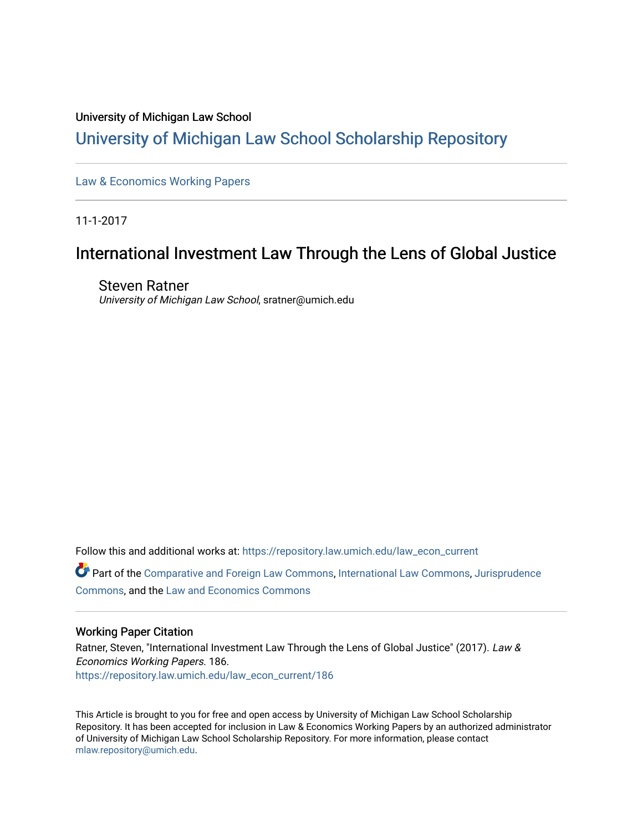## University of Michigan Law School

# [University of Michigan Law School Scholarship Repository](https://repository.law.umich.edu/)

[Law & Economics Working Papers](https://repository.law.umich.edu/law_econ_current)

11-1-2017

# International Investment Law Through the Lens of Global Justice

Steven Ratner University of Michigan Law School, sratner@umich.edu

Follow this and additional works at: [https://repository.law.umich.edu/law\\_econ\\_current](https://repository.law.umich.edu/law_econ_current?utm_source=repository.law.umich.edu%2Flaw_econ_current%2F186&utm_medium=PDF&utm_campaign=PDFCoverPages) 

Part of the [Comparative and Foreign Law Commons,](http://network.bepress.com/hgg/discipline/836?utm_source=repository.law.umich.edu%2Flaw_econ_current%2F186&utm_medium=PDF&utm_campaign=PDFCoverPages) [International Law Commons,](http://network.bepress.com/hgg/discipline/609?utm_source=repository.law.umich.edu%2Flaw_econ_current%2F186&utm_medium=PDF&utm_campaign=PDFCoverPages) [Jurisprudence](http://network.bepress.com/hgg/discipline/610?utm_source=repository.law.umich.edu%2Flaw_econ_current%2F186&utm_medium=PDF&utm_campaign=PDFCoverPages)  [Commons](http://network.bepress.com/hgg/discipline/610?utm_source=repository.law.umich.edu%2Flaw_econ_current%2F186&utm_medium=PDF&utm_campaign=PDFCoverPages), and the [Law and Economics Commons](http://network.bepress.com/hgg/discipline/612?utm_source=repository.law.umich.edu%2Flaw_econ_current%2F186&utm_medium=PDF&utm_campaign=PDFCoverPages) 

# Working Paper Citation

Ratner, Steven, "International Investment Law Through the Lens of Global Justice" (2017). Law & Economics Working Papers. 186. [https://repository.law.umich.edu/law\\_econ\\_current/186](https://repository.law.umich.edu/law_econ_current/186?utm_source=repository.law.umich.edu%2Flaw_econ_current%2F186&utm_medium=PDF&utm_campaign=PDFCoverPages) 

This Article is brought to you for free and open access by University of Michigan Law School Scholarship Repository. It has been accepted for inclusion in Law & Economics Working Papers by an authorized administrator of University of Michigan Law School Scholarship Repository. For more information, please contact [mlaw.repository@umich.edu.](mailto:mlaw.repository@umich.edu)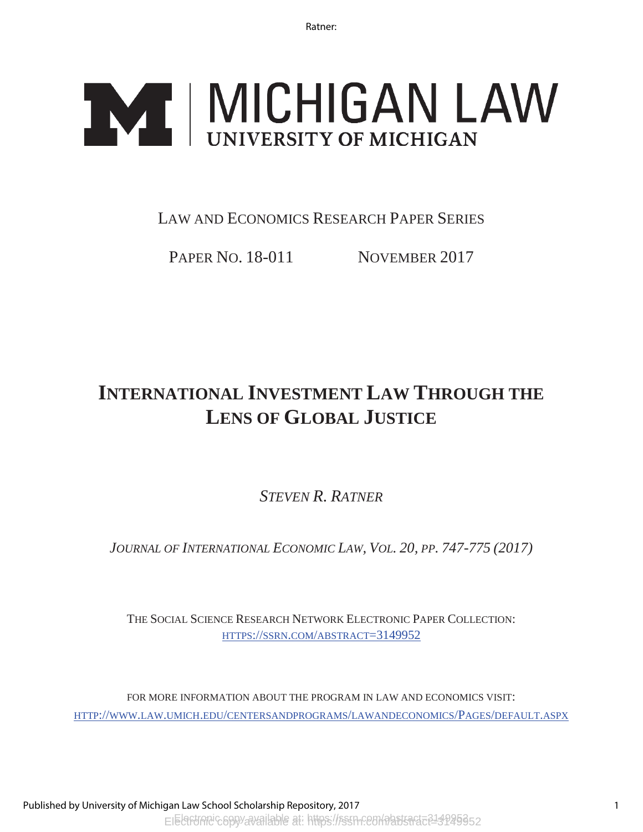# **IMCHIGAN LAW**

# LAW AND ECONOMICS RESEARCH PAPER SERIES

PAPER NO. 18-011 NOVEMBER 2017

# **INTERNATIONAL INVESTMENT LAW THROUGH THE LENS OF GLOBAL JUSTICE**

*STEVEN R. RATNER*

*JOURNAL OF INTERNATIONAL ECONOMIC LAW, VOL. 20, PP. 747-775 (2017)* 

THE SOCIAL SCIENCE RESEARCH NETWORK ELECTRONIC PAPER COLLECTION: HTTPS://SSRN.COM/ABSTRACT=3149952

FOR MORE INFORMATION ABOUT THE PROGRAM IN LAW AND ECONOMICS VISIT: HTTP://WWW.LAW.UMICH.EDU/CENTERSANDPROGRAMS/LAWANDECONOMICS/PAGES/DEFAULT.ASPX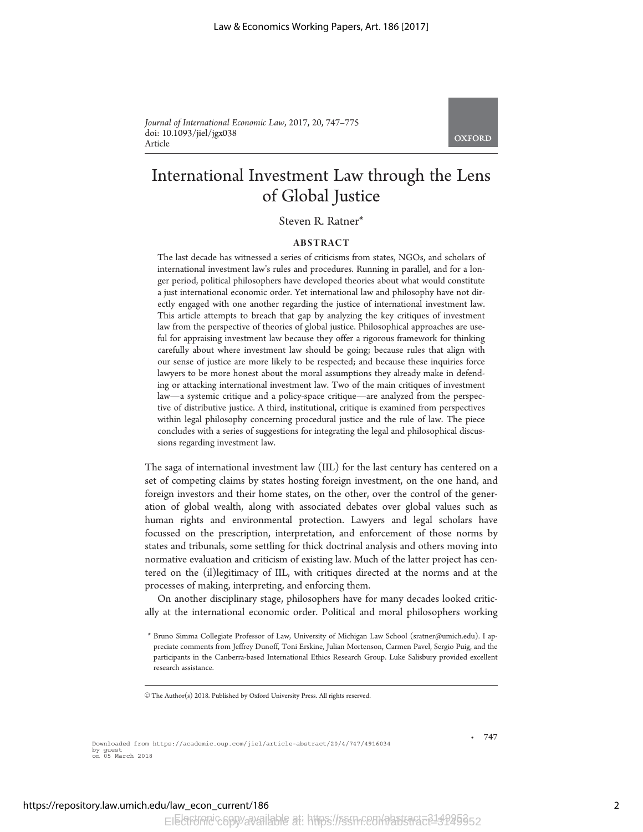Journal of International Economic Law, 2017, 20, 747–775 doi: 10.1093/jiel/jgx038 Article

**OXFORD** 

# International Investment Law through the Lens of Global Justice

Steven R. Ratner\*

## ABSTRACT

The last decade has witnessed a series of criticisms from states, NGOs, and scholars of international investment law's rules and procedures. Running in parallel, and for a longer period, political philosophers have developed theories about what would constitute a just international economic order. Yet international law and philosophy have not directly engaged with one another regarding the justice of international investment law. This article attempts to breach that gap by analyzing the key critiques of investment law from the perspective of theories of global justice. Philosophical approaches are useful for appraising investment law because they offer a rigorous framework for thinking carefully about where investment law should be going; because rules that align with our sense of justice are more likely to be respected; and because these inquiries force lawyers to be more honest about the moral assumptions they already make in defending or attacking international investment law. Two of the main critiques of investment law—a systemic critique and a policy-space critique—are analyzed from the perspective of distributive justice. A third, institutional, critique is examined from perspectives within legal philosophy concerning procedural justice and the rule of law. The piece concludes with a series of suggestions for integrating the legal and philosophical discussions regarding investment law.

The saga of international investment law (IIL) for the last century has centered on a set of competing claims by states hosting foreign investment, on the one hand, and foreign investors and their home states, on the other, over the control of the generation of global wealth, along with associated debates over global values such as human rights and environmental protection. Lawyers and legal scholars have focussed on the prescription, interpretation, and enforcement of those norms by states and tribunals, some settling for thick doctrinal analysis and others moving into normative evaluation and criticism of existing law. Much of the latter project has centered on the (il)legitimacy of IIL, with critiques directed at the norms and at the processes of making, interpreting, and enforcing them.

On another disciplinary stage, philosophers have for many decades looked critically at the international economic order. Political and moral philosophers working

Downloaded from https://academic.oup.com/jiel/article-abstract/20/4/747/4916034 by guest on 05 March 2018

747

-

<sup>\*</sup> Bruno Simma Collegiate Professor of Law, University of Michigan Law School (sratner@umich.edu). I appreciate comments from Jeffrey Dunoff, Toni Erskine, Julian Mortenson, Carmen Pavel, Sergio Puig, and the participants in the Canberra-based International Ethics Research Group. Luke Salisbury provided excellent research assistance.

V<sup>C</sup> The Author(s) 2018. Published by Oxford University Press. All rights reserved.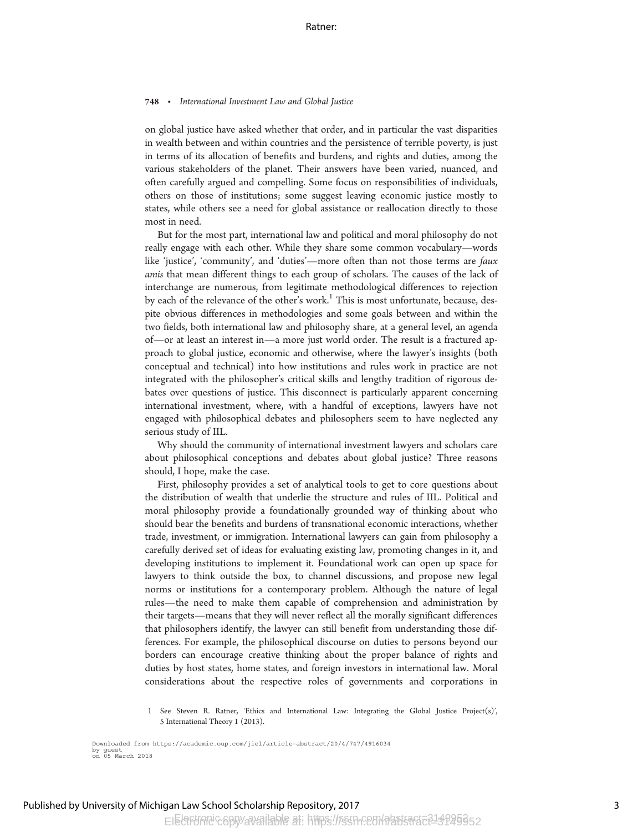on global justice have asked whether that order, and in particular the vast disparities in wealth between and within countries and the persistence of terrible poverty, is just in terms of its allocation of benefits and burdens, and rights and duties, among the various stakeholders of the planet. Their answers have been varied, nuanced, and often carefully argued and compelling. Some focus on responsibilities of individuals, others on those of institutions; some suggest leaving economic justice mostly to states, while others see a need for global assistance or reallocation directly to those most in need.

But for the most part, international law and political and moral philosophy do not really engage with each other. While they share some common vocabulary—words like 'justice', 'community', and 'duties'—more often than not those terms are faux amis that mean different things to each group of scholars. The causes of the lack of interchange are numerous, from legitimate methodological differences to rejection by each of the relevance of the other's work.<sup>1</sup> This is most unfortunate, because, despite obvious differences in methodologies and some goals between and within the two fields, both international law and philosophy share, at a general level, an agenda of—or at least an interest in—a more just world order. The result is a fractured approach to global justice, economic and otherwise, where the lawyer's insights (both conceptual and technical) into how institutions and rules work in practice are not integrated with the philosopher's critical skills and lengthy tradition of rigorous debates over questions of justice. This disconnect is particularly apparent concerning international investment, where, with a handful of exceptions, lawyers have not engaged with philosophical debates and philosophers seem to have neglected any serious study of IIL.

Why should the community of international investment lawyers and scholars care about philosophical conceptions and debates about global justice? Three reasons should, I hope, make the case.

First, philosophy provides a set of analytical tools to get to core questions about the distribution of wealth that underlie the structure and rules of IIL. Political and moral philosophy provide a foundationally grounded way of thinking about who should bear the benefits and burdens of transnational economic interactions, whether trade, investment, or immigration. International lawyers can gain from philosophy a carefully derived set of ideas for evaluating existing law, promoting changes in it, and developing institutions to implement it. Foundational work can open up space for lawyers to think outside the box, to channel discussions, and propose new legal norms or institutions for a contemporary problem. Although the nature of legal rules—the need to make them capable of comprehension and administration by their targets—means that they will never reflect all the morally significant differences that philosophers identify, the lawyer can still benefit from understanding those differences. For example, the philosophical discourse on duties to persons beyond our borders can encourage creative thinking about the proper balance of rights and duties by host states, home states, and foreign investors in international law. Moral considerations about the respective roles of governments and corporations in

<sup>1</sup> See Steven R. Ratner, 'Ethics and International Law: Integrating the Global Justice Project(s)', 5 International Theory 1 (2013).

Downloaded from https://academic.oup.com/jiel/article-abstract/20/4/747/4916034 by guest on 05 March 2018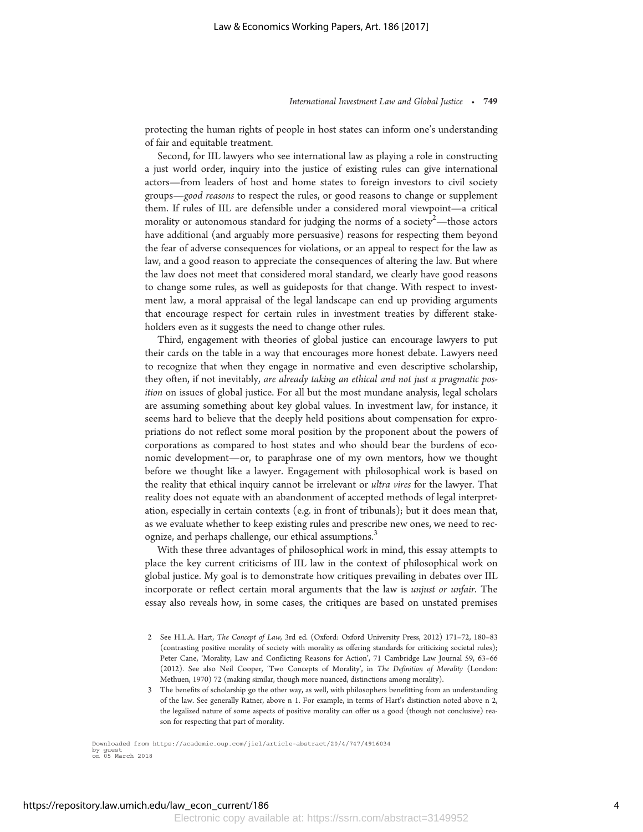protecting the human rights of people in host states can inform one's understanding of fair and equitable treatment.

Second, for IIL lawyers who see international law as playing a role in constructing a just world order, inquiry into the justice of existing rules can give international actors—from leaders of host and home states to foreign investors to civil society groups—good reasons to respect the rules, or good reasons to change or supplement them. If rules of IIL are defensible under a considered moral viewpoint—a critical morality or autonomous standard for judging the norms of a society  $\hat{y}^2$ —those actors have additional (and arguably more persuasive) reasons for respecting them beyond the fear of adverse consequences for violations, or an appeal to respect for the law as law, and a good reason to appreciate the consequences of altering the law. But where the law does not meet that considered moral standard, we clearly have good reasons to change some rules, as well as guideposts for that change. With respect to investment law, a moral appraisal of the legal landscape can end up providing arguments that encourage respect for certain rules in investment treaties by different stakeholders even as it suggests the need to change other rules.

Third, engagement with theories of global justice can encourage lawyers to put their cards on the table in a way that encourages more honest debate. Lawyers need to recognize that when they engage in normative and even descriptive scholarship, they often, if not inevitably, are already taking an ethical and not just a pragmatic position on issues of global justice. For all but the most mundane analysis, legal scholars are assuming something about key global values. In investment law, for instance, it seems hard to believe that the deeply held positions about compensation for expropriations do not reflect some moral position by the proponent about the powers of corporations as compared to host states and who should bear the burdens of economic development—or, to paraphrase one of my own mentors, how we thought before we thought like a lawyer. Engagement with philosophical work is based on the reality that ethical inquiry cannot be irrelevant or ultra vires for the lawyer. That reality does not equate with an abandonment of accepted methods of legal interpretation, especially in certain contexts (e.g. in front of tribunals); but it does mean that, as we evaluate whether to keep existing rules and prescribe new ones, we need to recognize, and perhaps challenge, our ethical assumptions.<sup>3</sup>

With these three advantages of philosophical work in mind, this essay attempts to place the key current criticisms of IIL law in the context of philosophical work on global justice. My goal is to demonstrate how critiques prevailing in debates over IIL incorporate or reflect certain moral arguments that the law is unjust or unfair. The essay also reveals how, in some cases, the critiques are based on unstated premises

- 2 See H.L.A. Hart, The Concept of Law, 3rd ed. (Oxford: Oxford University Press, 2012) 171–72, 180–83 (contrasting positive morality of society with morality as offering standards for criticizing societal rules); Peter Cane, 'Morality, Law and Conflicting Reasons for Action', 71 Cambridge Law Journal 59, 63–66 (2012). See also Neil Cooper, 'Two Concepts of Morality', in The Definition of Morality (London: Methuen, 1970) 72 (making similar, though more nuanced, distinctions among morality).
- 3 The benefits of scholarship go the other way, as well, with philosophers benefitting from an understanding of the law. See generally Ratner, above n 1. For example, in terms of Hart's distinction noted above n 2, the legalized nature of some aspects of positive morality can offer us a good (though not conclusive) reason for respecting that part of morality.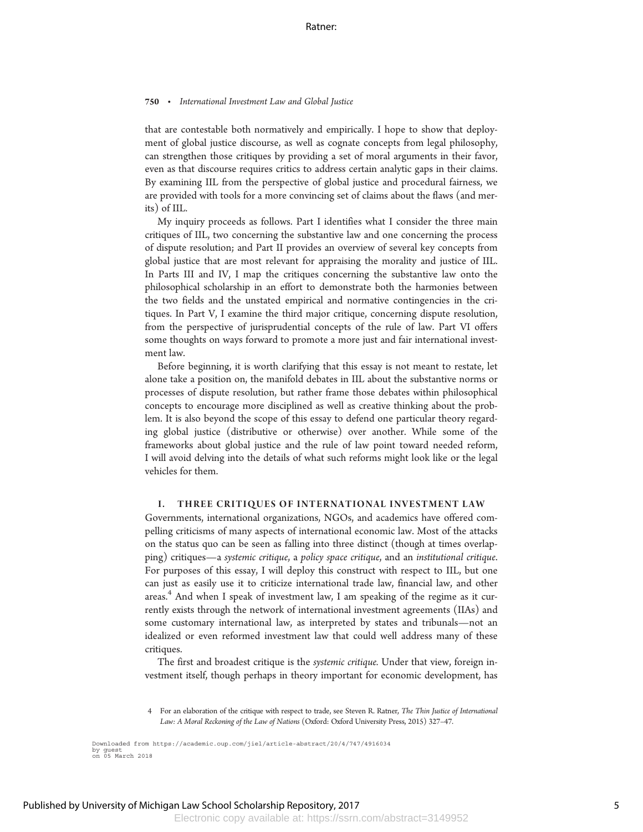that are contestable both normatively and empirically. I hope to show that deployment of global justice discourse, as well as cognate concepts from legal philosophy, can strengthen those critiques by providing a set of moral arguments in their favor, even as that discourse requires critics to address certain analytic gaps in their claims. By examining IIL from the perspective of global justice and procedural fairness, we are provided with tools for a more convincing set of claims about the flaws (and merits) of IIL.

My inquiry proceeds as follows. Part I identifies what I consider the three main critiques of IIL, two concerning the substantive law and one concerning the process of dispute resolution; and Part II provides an overview of several key concepts from global justice that are most relevant for appraising the morality and justice of IIL. In Parts III and IV, I map the critiques concerning the substantive law onto the philosophical scholarship in an effort to demonstrate both the harmonies between the two fields and the unstated empirical and normative contingencies in the critiques. In Part V, I examine the third major critique, concerning dispute resolution, from the perspective of jurisprudential concepts of the rule of law. Part VI offers some thoughts on ways forward to promote a more just and fair international investment law.

Before beginning, it is worth clarifying that this essay is not meant to restate, let alone take a position on, the manifold debates in IIL about the substantive norms or processes of dispute resolution, but rather frame those debates within philosophical concepts to encourage more disciplined as well as creative thinking about the problem. It is also beyond the scope of this essay to defend one particular theory regarding global justice (distributive or otherwise) over another. While some of the frameworks about global justice and the rule of law point toward needed reform, I will avoid delving into the details of what such reforms might look like or the legal vehicles for them.

#### I. THREE CRITIQUES OF INTERNATIONAL INVESTMENT LAW

Governments, international organizations, NGOs, and academics have offered compelling criticisms of many aspects of international economic law. Most of the attacks on the status quo can be seen as falling into three distinct (though at times overlapping) critiques—a systemic critique, a policy space critique, and an institutional critique. For purposes of this essay, I will deploy this construct with respect to IIL, but one can just as easily use it to criticize international trade law, financial law, and other areas.<sup>4</sup> And when I speak of investment law, I am speaking of the regime as it currently exists through the network of international investment agreements (IIAs) and some customary international law, as interpreted by states and tribunals—not an idealized or even reformed investment law that could well address many of these critiques.

The first and broadest critique is the *systemic critique*. Under that view, foreign investment itself, though perhaps in theory important for economic development, has

<sup>4</sup> For an elaboration of the critique with respect to trade, see Steven R. Ratner, The Thin Justice of International Law: A Moral Reckoning of the Law of Nations (Oxford: Oxford University Press, 2015) 327–47.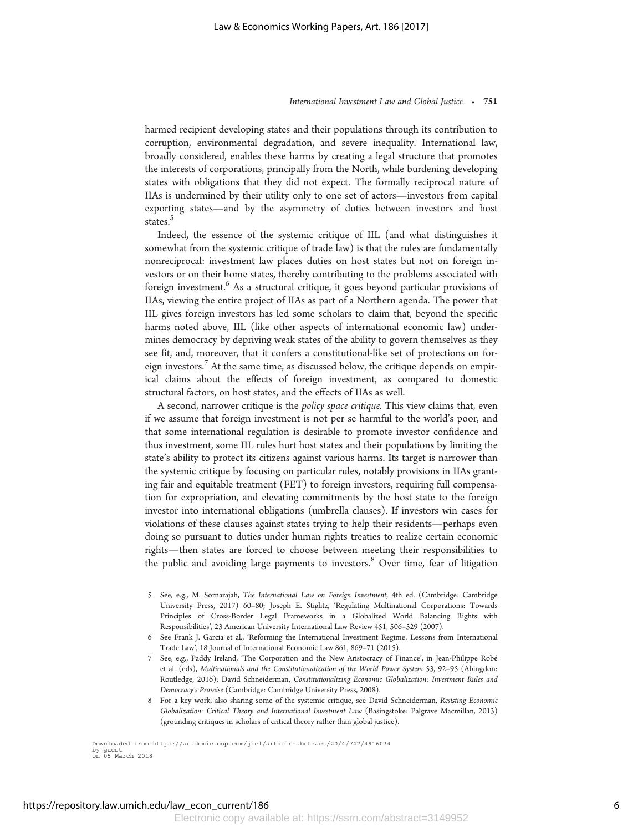harmed recipient developing states and their populations through its contribution to corruption, environmental degradation, and severe inequality. International law, broadly considered, enables these harms by creating a legal structure that promotes the interests of corporations, principally from the North, while burdening developing states with obligations that they did not expect. The formally reciprocal nature of IIAs is undermined by their utility only to one set of actors—investors from capital exporting states—and by the asymmetry of duties between investors and host states.<sup>5</sup>

Indeed, the essence of the systemic critique of IIL (and what distinguishes it somewhat from the systemic critique of trade law) is that the rules are fundamentally nonreciprocal: investment law places duties on host states but not on foreign investors or on their home states, thereby contributing to the problems associated with foreign investment.<sup>6</sup> As a structural critique, it goes beyond particular provisions of IIAs, viewing the entire project of IIAs as part of a Northern agenda. The power that IIL gives foreign investors has led some scholars to claim that, beyond the specific harms noted above, IIL (like other aspects of international economic law) undermines democracy by depriving weak states of the ability to govern themselves as they see fit, and, moreover, that it confers a constitutional-like set of protections on foreign investors.<sup>7</sup> At the same time, as discussed below, the critique depends on empirical claims about the effects of foreign investment, as compared to domestic structural factors, on host states, and the effects of IIAs as well.

A second, narrower critique is the policy space critique. This view claims that, even if we assume that foreign investment is not per se harmful to the world's poor, and that some international regulation is desirable to promote investor confidence and thus investment, some IIL rules hurt host states and their populations by limiting the state's ability to protect its citizens against various harms. Its target is narrower than the systemic critique by focusing on particular rules, notably provisions in IIAs granting fair and equitable treatment (FET) to foreign investors, requiring full compensation for expropriation, and elevating commitments by the host state to the foreign investor into international obligations (umbrella clauses). If investors win cases for violations of these clauses against states trying to help their residents—perhaps even doing so pursuant to duties under human rights treaties to realize certain economic rights—then states are forced to choose between meeting their responsibilities to the public and avoiding large payments to investors.<sup>8</sup> Over time, fear of litigation

- 5 See, e.g., M. Sornarajah, The International Law on Foreign Investment, 4th ed. (Cambridge: Cambridge University Press, 2017) 60–80; Joseph E. Stiglitz, 'Regulating Multinational Corporations: Towards Principles of Cross-Border Legal Frameworks in a Globalized World Balancing Rights with Responsibilities', 23 American University International Law Review 451, 506–529 (2007).
- 6 See Frank J. Garcia et al., 'Reforming the International Investment Regime: Lessons from International Trade Law', 18 Journal of International Economic Law 861, 869–71 (2015).
- 7 See, e.g., Paddy Ireland, 'The Corporation and the New Aristocracy of Finance', in Jean-Philippe Robe´ et al. (eds), Multinationals and the Constitutionalization of the World Power System 53, 92–95 (Abingdon: Routledge, 2016); David Schneiderman, Constitutionalizing Economic Globalization: Investment Rules and Democracy's Promise (Cambridge: Cambridge University Press, 2008).
- 8 For a key work, also sharing some of the systemic critique, see David Schneiderman, Resisting Economic Globalization: Critical Theory and International Investment Law (Basingstoke: Palgrave Macmillan, 2013) (grounding critiques in scholars of critical theory rather than global justice).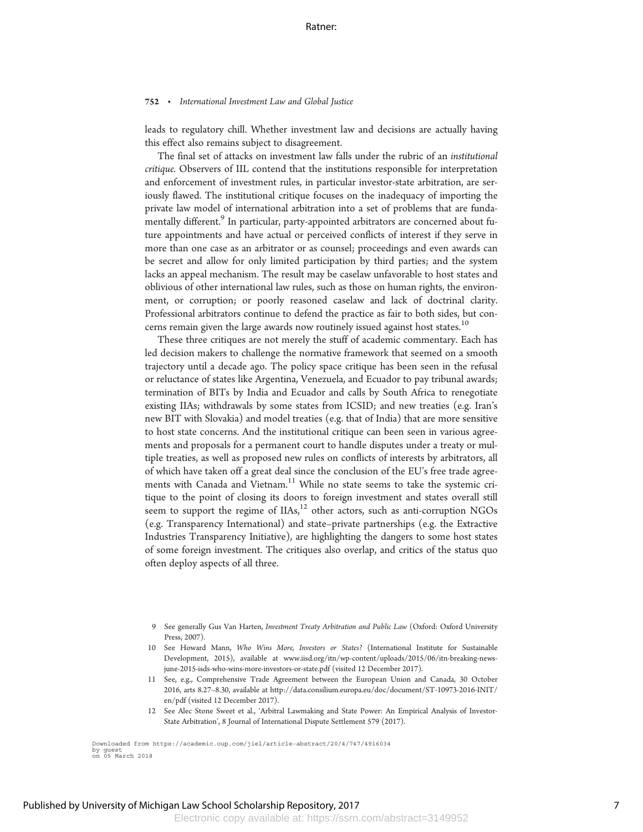leads to regulatory chill. Whether investment law and decisions are actually having this effect also remains subject to disagreement.

The final set of attacks on investment law falls under the rubric of an institutional critique. Observers of IIL contend that the institutions responsible for interpretation and enforcement of investment rules, in particular investor-state arbitration, are seriously flawed. The institutional critique focuses on the inadequacy of importing the private law model of international arbitration into a set of problems that are fundamentally different.<sup>9</sup> In particular, party-appointed arbitrators are concerned about future appointments and have actual or perceived conflicts of interest if they serve in more than one case as an arbitrator or as counsel; proceedings and even awards can be secret and allow for only limited participation by third parties; and the system lacks an appeal mechanism. The result may be caselaw unfavorable to host states and oblivious of other international law rules, such as those on human rights, the environment, or corruption; or poorly reasoned caselaw and lack of doctrinal clarity. Professional arbitrators continue to defend the practice as fair to both sides, but concerns remain given the large awards now routinely issued against host states.<sup>10</sup>

These three critiques are not merely the stuff of academic commentary. Each has led decision makers to challenge the normative framework that seemed on a smooth trajectory until a decade ago. The policy space critique has been seen in the refusal or reluctance of states like Argentina, Venezuela, and Ecuador to pay tribunal awards; termination of BITs by India and Ecuador and calls by South Africa to renegotiate existing IIAs; withdrawals by some states from ICSID; and new treaties (e.g. Iran's new BIT with Slovakia) and model treaties (e.g. that of India) that are more sensitive to host state concerns. And the institutional critique can been seen in various agreements and proposals for a permanent court to handle disputes under a treaty or multiple treaties, as well as proposed new rules on conflicts of interests by arbitrators, all of which have taken off a great deal since the conclusion of the EU's free trade agreements with Canada and Vietnam.<sup>11</sup> While no state seems to take the systemic critique to the point of closing its doors to foreign investment and states overall still seem to support the regime of  $IIAs<sub>i</sub><sup>12</sup>$  other actors, such as anti-corruption NGOs (e.g. Transparency International) and state–private partnerships (e.g. the Extractive Industries Transparency Initiative), are highlighting the dangers to some host states of some foreign investment. The critiques also overlap, and critics of the status quo often deploy aspects of all three.

12 See Alec Stone Sweet et al., 'Arbitral Lawmaking and State Power: An Empirical Analysis of Investor-State Arbitration', 8 Journal of International Dispute Settlement 579 (2017).

<sup>9</sup> See generally Gus Van Harten, Investment Treaty Arbitration and Public Law (Oxford: Oxford University Press, 2007).

<sup>10</sup> See Howard Mann, Who Wins More, Investors or States? (International Institute for Sustainable Development, 2015), available at www.iisd.org/itn/wp-content/uploads/2015/06/itn-breaking-newsjune-2015-isds-who-wins-more-investors-or-state.pdf (visited 12 December 2017).

<sup>11</sup> See, e.g., Comprehensive Trade Agreement between the European Union and Canada, 30 October 2016, arts 8.27–8.30, available at http://data.consilium.europa.eu/doc/document/ST-10973-2016-INIT/ en/pdf (visited 12 December 2017).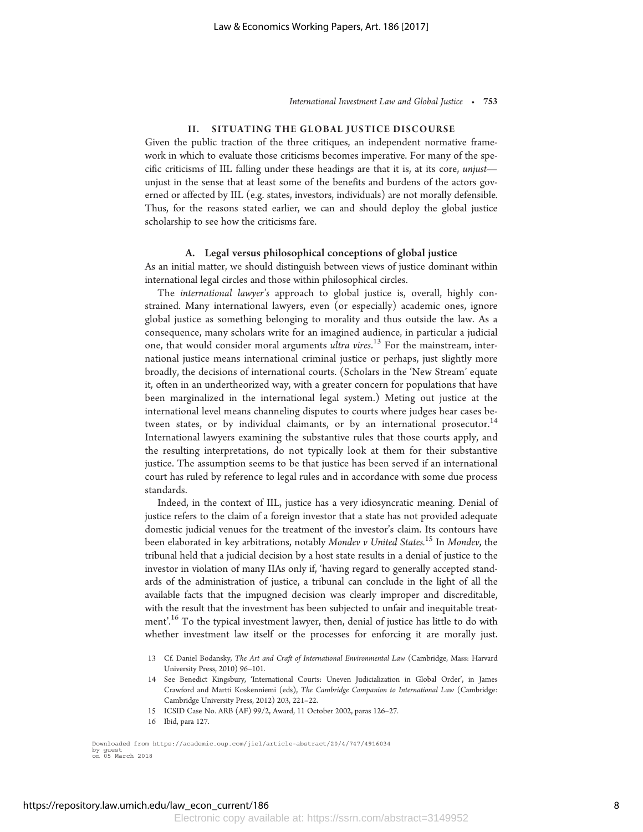## II. SITUATING THE GLOBAL JUSTICE DISCOURSE

Given the public traction of the three critiques, an independent normative framework in which to evaluate those criticisms becomes imperative. For many of the specific criticisms of IIL falling under these headings are that it is, at its core, unjust unjust in the sense that at least some of the benefits and burdens of the actors governed or affected by IIL (e.g. states, investors, individuals) are not morally defensible. Thus, for the reasons stated earlier, we can and should deploy the global justice scholarship to see how the criticisms fare.

## A. Legal versus philosophical conceptions of global justice

As an initial matter, we should distinguish between views of justice dominant within international legal circles and those within philosophical circles.

The international lawyer's approach to global justice is, overall, highly constrained. Many international lawyers, even (or especially) academic ones, ignore global justice as something belonging to morality and thus outside the law. As a consequence, many scholars write for an imagined audience, in particular a judicial one, that would consider moral arguments ultra vires.<sup>13</sup> For the mainstream, international justice means international criminal justice or perhaps, just slightly more broadly, the decisions of international courts. (Scholars in the 'New Stream' equate it, often in an undertheorized way, with a greater concern for populations that have been marginalized in the international legal system.) Meting out justice at the international level means channeling disputes to courts where judges hear cases between states, or by individual claimants, or by an international prosecutor.<sup>14</sup> International lawyers examining the substantive rules that those courts apply, and the resulting interpretations, do not typically look at them for their substantive justice. The assumption seems to be that justice has been served if an international court has ruled by reference to legal rules and in accordance with some due process standards.

Indeed, in the context of IIL, justice has a very idiosyncratic meaning. Denial of justice refers to the claim of a foreign investor that a state has not provided adequate domestic judicial venues for the treatment of the investor's claim. Its contours have been elaborated in key arbitrations, notably Mondev v United States.<sup>15</sup> In Mondev, the tribunal held that a judicial decision by a host state results in a denial of justice to the investor in violation of many IIAs only if, 'having regard to generally accepted standards of the administration of justice, a tribunal can conclude in the light of all the available facts that the impugned decision was clearly improper and discreditable, with the result that the investment has been subjected to unfair and inequitable treatment'.<sup>16</sup> To the typical investment lawyer, then, denial of justice has little to do with whether investment law itself or the processes for enforcing it are morally just.

- 13 Cf. Daniel Bodansky, The Art and Craft of International Environmental Law (Cambridge, Mass: Harvard University Press, 2010) 96–101.
- 14 See Benedict Kingsbury, 'International Courts: Uneven Judicialization in Global Order', in James Crawford and Martti Koskenniemi (eds), The Cambridge Companion to International Law (Cambridge: Cambridge University Press, 2012) 203, 221–22.
- 15 ICSID Case No. ARB (AF) 99/2, Award, 11 October 2002, paras 126–27.

<sup>16</sup> Ibid, para 127.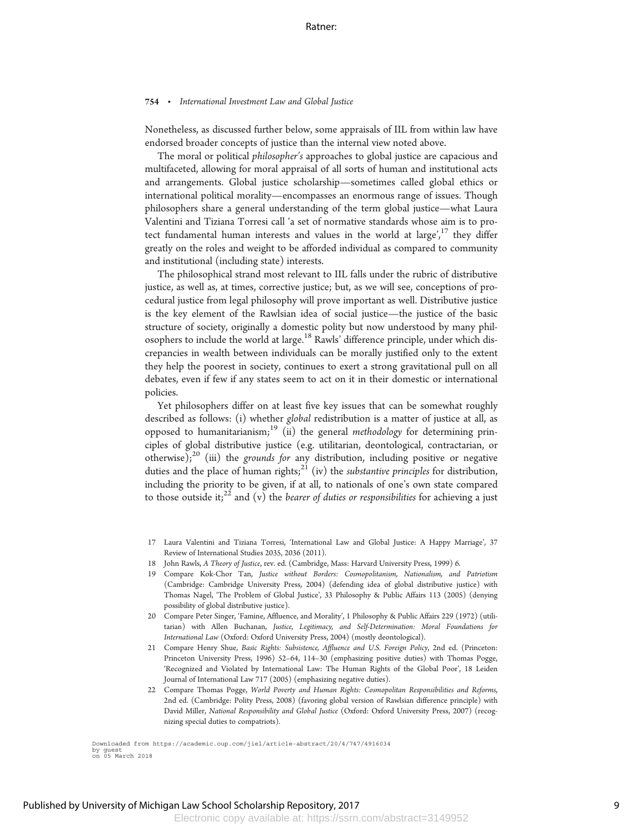Nonetheless, as discussed further below, some appraisals of IIL from within law have endorsed broader concepts of justice than the internal view noted above.

The moral or political philosopher's approaches to global justice are capacious and multifaceted, allowing for moral appraisal of all sorts of human and institutional acts and arrangements. Global justice scholarship—sometimes called global ethics or international political morality—encompasses an enormous range of issues. Though philosophers share a general understanding of the term global justice—what Laura Valentini and Tiziana Torresi call 'a set of normative standards whose aim is to protect fundamental human interests and values in the world at large', $17$  they differ greatly on the roles and weight to be afforded individual as compared to community and institutional (including state) interests.

The philosophical strand most relevant to IIL falls under the rubric of distributive justice, as well as, at times, corrective justice; but, as we will see, conceptions of procedural justice from legal philosophy will prove important as well. Distributive justice is the key element of the Rawlsian idea of social justice—the justice of the basic structure of society, originally a domestic polity but now understood by many philosophers to include the world at large.<sup>18</sup> Rawls' difference principle, under which discrepancies in wealth between individuals can be morally justified only to the extent they help the poorest in society, continues to exert a strong gravitational pull on all debates, even if few if any states seem to act on it in their domestic or international policies.

Yet philosophers differ on at least five key issues that can be somewhat roughly described as follows: (i) whether global redistribution is a matter of justice at all, as opposed to humanitarianism;<sup>19</sup> (ii) the general *methodology* for determining principles of global distributive justice (e.g. utilitarian, deontological, contractarian, or otherwise); $^{20}$  (iii) the grounds for any distribution, including positive or negative duties and the place of human rights; $2^{21}$  (iv) the *substantive principles* for distribution, including the priority to be given, if at all, to nationals of one's own state compared to those outside it;  $2^{2}$  and (v) the *bearer of duties or responsibilities* for achieving a just

- 17 Laura Valentini and Tiziana Torresi, 'International Law and Global Justice: A Happy Marriage', 37 Review of International Studies 2035, 2036 (2011).
- 18 John Rawls, A Theory of Justice, rev. ed. (Cambridge, Mass: Harvard University Press, 1999) 6.
- 19 Compare Kok-Chor Tan, Justice without Borders: Cosmopolitanism, Nationalism, and Patriotism (Cambridge: Cambridge University Press, 2004) (defending idea of global distributive justice) with Thomas Nagel, 'The Problem of Global Justice', 33 Philosophy & Public Affairs 113 (2005) (denying possibility of global distributive justice).
- 20 Compare Peter Singer, 'Famine, Affluence, and Morality', 1 Philosophy & Public Affairs 229 (1972) (utilitarian) with Allen Buchanan, Justice, Legitimacy, and Self-Determination: Moral Foundations for International Law (Oxford: Oxford University Press, 2004) (mostly deontological).
- 21 Compare Henry Shue, Basic Rights: Subsistence, Affluence and U.S. Foreign Policy, 2nd ed. (Princeton: Princeton University Press, 1996) 52–64, 114–30 (emphasizing positive duties) with Thomas Pogge, 'Recognized and Violated by International Law: The Human Rights of the Global Poor', 18 Leiden Journal of International Law 717 (2005) (emphasizing negative duties).
- 22 Compare Thomas Pogge, World Poverty and Human Rights: Cosmopolitan Responsibilities and Reforms, 2nd ed. (Cambridge: Polity Press, 2008) (favoring global version of Rawlsian difference principle) with David Miller, National Responsibility and Global Justice (Oxford: Oxford University Press, 2007) (recognizing special duties to compatriots).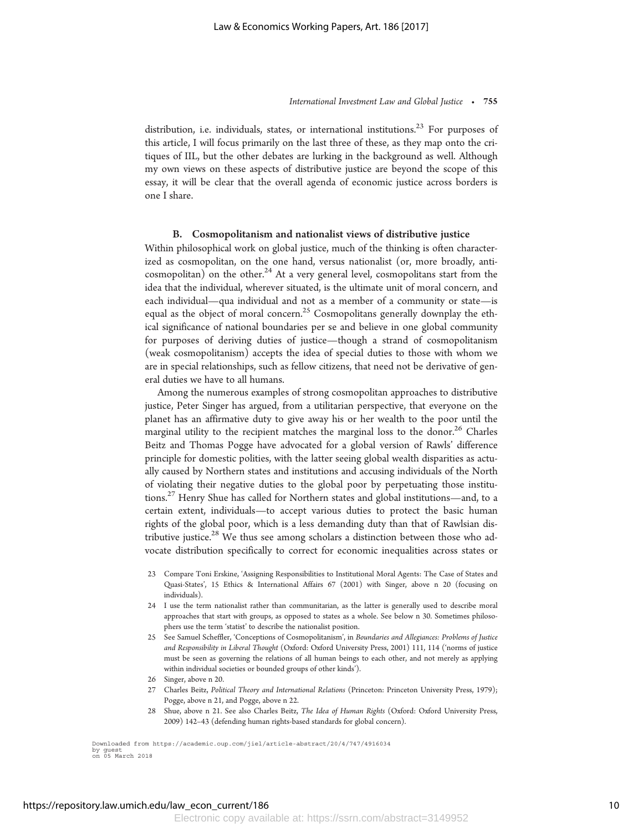distribution, i.e. individuals, states, or international institutions.<sup>23</sup> For purposes of this article, I will focus primarily on the last three of these, as they map onto the critiques of IIL, but the other debates are lurking in the background as well. Although my own views on these aspects of distributive justice are beyond the scope of this essay, it will be clear that the overall agenda of economic justice across borders is one I share.

#### B. Cosmopolitanism and nationalist views of distributive justice

Within philosophical work on global justice, much of the thinking is often characterized as cosmopolitan, on the one hand, versus nationalist (or, more broadly, anticosmopolitan) on the other.<sup>24</sup> At a very general level, cosmopolitans start from the idea that the individual, wherever situated, is the ultimate unit of moral concern, and each individual—qua individual and not as a member of a community or state—is equal as the object of moral concern.<sup>25</sup> Cosmopolitans generally downplay the ethical significance of national boundaries per se and believe in one global community for purposes of deriving duties of justice—though a strand of cosmopolitanism (weak cosmopolitanism) accepts the idea of special duties to those with whom we are in special relationships, such as fellow citizens, that need not be derivative of general duties we have to all humans.

Among the numerous examples of strong cosmopolitan approaches to distributive justice, Peter Singer has argued, from a utilitarian perspective, that everyone on the planet has an affirmative duty to give away his or her wealth to the poor until the marginal utility to the recipient matches the marginal loss to the donor.<sup>26</sup> Charles Beitz and Thomas Pogge have advocated for a global version of Rawls' difference principle for domestic polities, with the latter seeing global wealth disparities as actually caused by Northern states and institutions and accusing individuals of the North of violating their negative duties to the global poor by perpetuating those institutions.<sup>27</sup> Henry Shue has called for Northern states and global institutions—and, to a certain extent, individuals—to accept various duties to protect the basic human rights of the global poor, which is a less demanding duty than that of Rawlsian distributive justice.<sup>28</sup> We thus see among scholars a distinction between those who advocate distribution specifically to correct for economic inequalities across states or

- 23 Compare Toni Erskine, 'Assigning Responsibilities to Institutional Moral Agents: The Case of States and Quasi-States', 15 Ethics & International Affairs 67 (2001) with Singer, above n 20 (focusing on individuals).
- 24 I use the term nationalist rather than communitarian, as the latter is generally used to describe moral approaches that start with groups, as opposed to states as a whole. See below n 30. Sometimes philosophers use the term 'statist' to describe the nationalist position.
- 25 See Samuel Scheffler, 'Conceptions of Cosmopolitanism', in Boundaries and Allegiances: Problems of Justice and Responsibility in Liberal Thought (Oxford: Oxford University Press, 2001) 111, 114 ('norms of justice must be seen as governing the relations of all human beings to each other, and not merely as applying within individual societies or bounded groups of other kinds').
- 26 Singer, above n 20.
- 27 Charles Beitz, Political Theory and International Relations (Princeton: Princeton University Press, 1979); Pogge, above n 21, and Pogge, above n 22.
- 28 Shue, above n 21. See also Charles Beitz, The Idea of Human Rights (Oxford: Oxford University Press, 2009) 142–43 (defending human rights-based standards for global concern).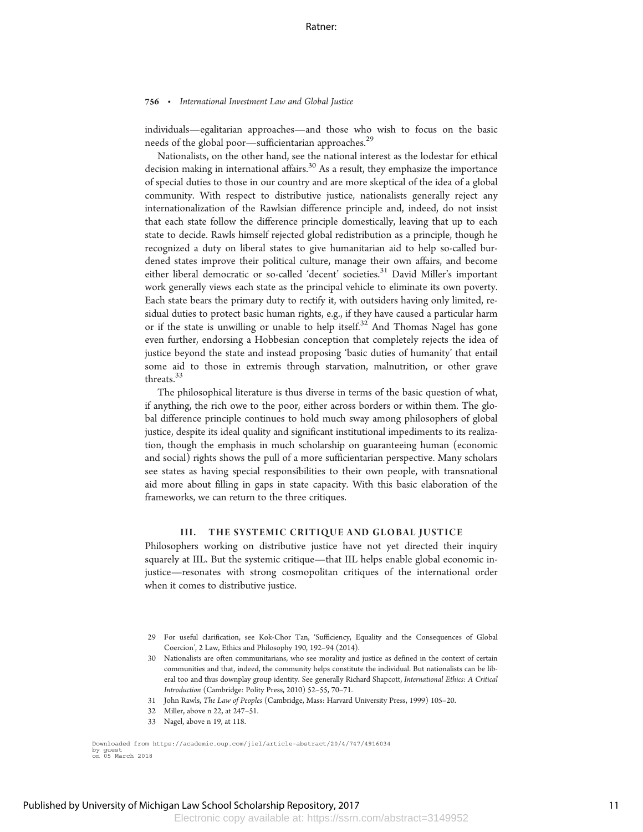individuals—egalitarian approaches—and those who wish to focus on the basic needs of the global poor—sufficientarian approaches. $^{29}$ 

Nationalists, on the other hand, see the national interest as the lodestar for ethical decision making in international affairs.<sup>30</sup> As a result, they emphasize the importance of special duties to those in our country and are more skeptical of the idea of a global community. With respect to distributive justice, nationalists generally reject any internationalization of the Rawlsian difference principle and, indeed, do not insist that each state follow the difference principle domestically, leaving that up to each state to decide. Rawls himself rejected global redistribution as a principle, though he recognized a duty on liberal states to give humanitarian aid to help so-called burdened states improve their political culture, manage their own affairs, and become either liberal democratic or so-called 'decent' societies.<sup>31</sup> David Miller's important work generally views each state as the principal vehicle to eliminate its own poverty. Each state bears the primary duty to rectify it, with outsiders having only limited, residual duties to protect basic human rights, e.g., if they have caused a particular harm or if the state is unwilling or unable to help itself.<sup>32</sup> And Thomas Nagel has gone even further, endorsing a Hobbesian conception that completely rejects the idea of justice beyond the state and instead proposing 'basic duties of humanity' that entail some aid to those in extremis through starvation, malnutrition, or other grave threats.33

The philosophical literature is thus diverse in terms of the basic question of what, if anything, the rich owe to the poor, either across borders or within them. The global difference principle continues to hold much sway among philosophers of global justice, despite its ideal quality and significant institutional impediments to its realization, though the emphasis in much scholarship on guaranteeing human (economic and social) rights shows the pull of a more sufficientarian perspective. Many scholars see states as having special responsibilities to their own people, with transnational aid more about filling in gaps in state capacity. With this basic elaboration of the frameworks, we can return to the three critiques.

#### III. THE SYSTEMIC CRITIQUE AND GLOBAL JUSTICE

Philosophers working on distributive justice have not yet directed their inquiry squarely at IIL. But the systemic critique—that IIL helps enable global economic injustice—resonates with strong cosmopolitan critiques of the international order when it comes to distributive justice.

- 29 For useful clarification, see Kok-Chor Tan, 'Sufficiency, Equality and the Consequences of Global Coercion', 2 Law, Ethics and Philosophy 190, 192–94 (2014).
- 30 Nationalists are often communitarians, who see morality and justice as defined in the context of certain communities and that, indeed, the community helps constitute the individual. But nationalists can be liberal too and thus downplay group identity. See generally Richard Shapcott, International Ethics: A Critical Introduction (Cambridge: Polity Press, 2010) 52–55, 70–71.
- 31 John Rawls, The Law of Peoples (Cambridge, Mass: Harvard University Press, 1999) 105–20.
- 32 Miller, above n 22, at 247–51.
- 33 Nagel, above n 19, at 118.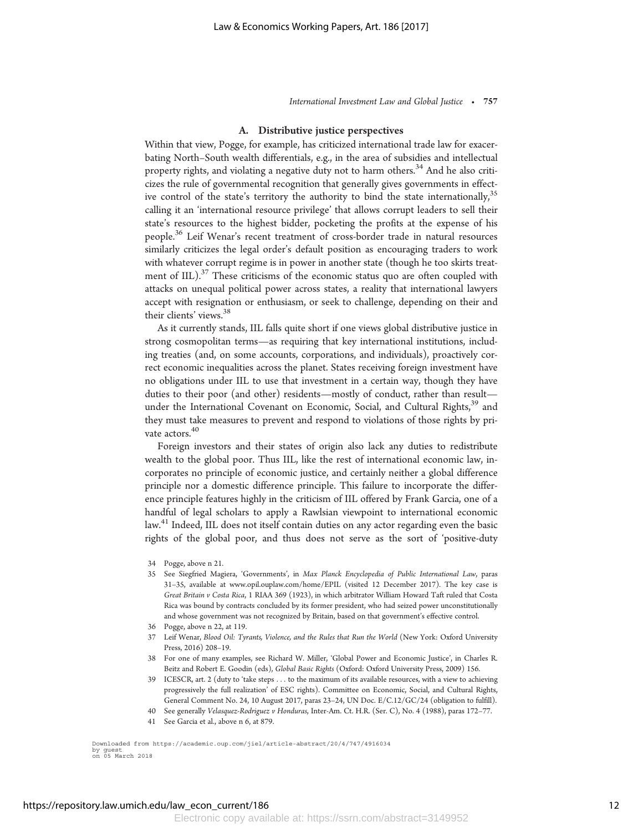## A. Distributive justice perspectives

Within that view, Pogge, for example, has criticized international trade law for exacerbating North–South wealth differentials, e.g., in the area of subsidies and intellectual property rights, and violating a negative duty not to harm others.<sup>34</sup> And he also criticizes the rule of governmental recognition that generally gives governments in effective control of the state's territory the authority to bind the state internationally,  $35$ calling it an 'international resource privilege' that allows corrupt leaders to sell their state's resources to the highest bidder, pocketing the profits at the expense of his people.<sup>36</sup> Leif Wenar's recent treatment of cross-border trade in natural resources similarly criticizes the legal order's default position as encouraging traders to work with whatever corrupt regime is in power in another state (though he too skirts treatment of IIL). $^{37}$  These criticisms of the economic status quo are often coupled with attacks on unequal political power across states, a reality that international lawyers accept with resignation or enthusiasm, or seek to challenge, depending on their and their clients' views.38

As it currently stands, IIL falls quite short if one views global distributive justice in strong cosmopolitan terms—as requiring that key international institutions, including treaties (and, on some accounts, corporations, and individuals), proactively correct economic inequalities across the planet. States receiving foreign investment have no obligations under IIL to use that investment in a certain way, though they have duties to their poor (and other) residents—mostly of conduct, rather than result under the International Covenant on Economic, Social, and Cultural Rights,<sup>39</sup> and they must take measures to prevent and respond to violations of those rights by private actors.<sup>40</sup>

Foreign investors and their states of origin also lack any duties to redistribute wealth to the global poor. Thus IIL, like the rest of international economic law, incorporates no principle of economic justice, and certainly neither a global difference principle nor a domestic difference principle. This failure to incorporate the difference principle features highly in the criticism of IIL offered by Frank Garcia, one of a handful of legal scholars to apply a Rawlsian viewpoint to international economic law.<sup>41</sup> Indeed, IIL does not itself contain duties on any actor regarding even the basic rights of the global poor, and thus does not serve as the sort of 'positive-duty

- 34 Pogge, above n 21.
- 35 See Siegfried Magiera, 'Governments', in Max Planck Encyclopedia of Public International Law, paras 31–35, available at www.opil.ouplaw.com/home/EPIL (visited 12 December 2017). The key case is Great Britain v Costa Rica, 1 RIAA 369 (1923), in which arbitrator William Howard Taft ruled that Costa Rica was bound by contracts concluded by its former president, who had seized power unconstitutionally and whose government was not recognized by Britain, based on that government's effective control.
- 36 Pogge, above n 22, at 119.
- 37 Leif Wenar, Blood Oil: Tyrants, Violence, and the Rules that Run the World (New York: Oxford University Press, 2016) 208–19.
- 38 For one of many examples, see Richard W. Miller, 'Global Power and Economic Justice', in Charles R. Beitz and Robert E. Goodin (eds), Global Basic Rights (Oxford: Oxford University Press, 2009) 156.
- 39 ICESCR, art. 2 (duty to 'take steps ... to the maximum of its available resources, with a view to achieving progressively the full realization' of ESC rights). Committee on Economic, Social, and Cultural Rights, General Comment No. 24, 10 August 2017, paras 23–24, UN Doc. E/C.12/GC/24 (obligation to fulfill).
- 40 See generally Velasquez-Rodriguez v Honduras, Inter-Am. Ct. H.R. (Ser. C), No. 4 (1988), paras 172-77.
- 41 See Garcia et al., above n 6, at 879.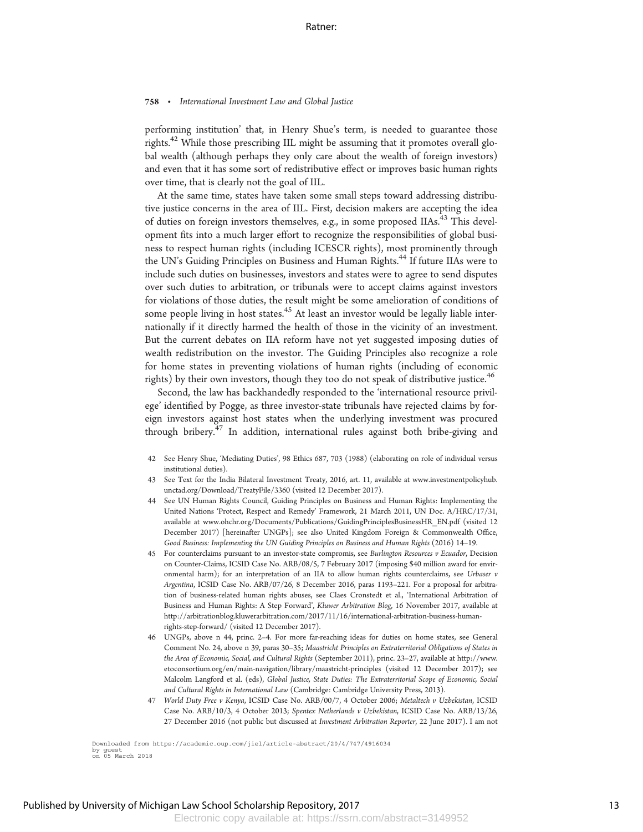performing institution' that, in Henry Shue's term, is needed to guarantee those rights.<sup>42</sup> While those prescribing IIL might be assuming that it promotes overall global wealth (although perhaps they only care about the wealth of foreign investors) and even that it has some sort of redistributive effect or improves basic human rights over time, that is clearly not the goal of IIL.

At the same time, states have taken some small steps toward addressing distributive justice concerns in the area of IIL. First, decision makers are accepting the idea of duties on foreign investors themselves, e.g., in some proposed IIAs.<sup>43</sup> This development fits into a much larger effort to recognize the responsibilities of global business to respect human rights (including ICESCR rights), most prominently through the UN's Guiding Principles on Business and Human Rights.<sup>44</sup> If future IIAs were to include such duties on businesses, investors and states were to agree to send disputes over such duties to arbitration, or tribunals were to accept claims against investors for violations of those duties, the result might be some amelioration of conditions of some people living in host states.<sup>45</sup> At least an investor would be legally liable internationally if it directly harmed the health of those in the vicinity of an investment. But the current debates on IIA reform have not yet suggested imposing duties of wealth redistribution on the investor. The Guiding Principles also recognize a role for home states in preventing violations of human rights (including of economic rights) by their own investors, though they too do not speak of distributive justice.<sup>46</sup>

Second, the law has backhandedly responded to the 'international resource privilege' identified by Pogge, as three investor-state tribunals have rejected claims by foreign investors against host states when the underlying investment was procured through bribery.<sup>47</sup> In addition, international rules against both bribe-giving and

- 42 See Henry Shue, 'Mediating Duties', 98 Ethics 687, 703 (1988) (elaborating on role of individual versus institutional duties).
- 43 See Text for the India Bilateral Investment Treaty, 2016, art. 11, available at www.investmentpolicyhub. unctad.org/Download/TreatyFile/3360 (visited 12 December 2017).
- 44 See UN Human Rights Council, Guiding Principles on Business and Human Rights: Implementing the United Nations 'Protect, Respect and Remedy' Framework, 21 March 2011, UN Doc. A/HRC/17/31, available at www.ohchr.org/Documents/Publications/GuidingPrinciplesBusinessHR\_EN.pdf (visited 12 December 2017) [hereinafter UNGPs]; see also United Kingdom Foreign & Commonwealth Office, Good Business: Implementing the UN Guiding Principles on Business and Human Rights (2016) 14–19.
- 45 For counterclaims pursuant to an investor-state compromis, see Burlington Resources v Ecuador, Decision on Counter-Claims, ICSID Case No. ARB/08/5, 7 February 2017 (imposing \$40 million award for environmental harm); for an interpretation of an IIA to allow human rights counterclaims, see Urbaser v Argentina, ICSID Case No. ARB/07/26, 8 December 2016, paras 1193–221. For a proposal for arbitration of business-related human rights abuses, see Claes Cronstedt et al., 'International Arbitration of Business and Human Rights: A Step Forward', Kluwer Arbitration Blog, 16 November 2017, available at http://arbitrationblog.kluwerarbitration.com/2017/11/16/international-arbitration-business-humanrights-step-forward/ (visited 12 December 2017).
- 46 UNGPs, above n 44, princ. 2–4. For more far-reaching ideas for duties on home states, see General Comment No. 24, above n 39, paras 30–35; Maastricht Principles on Extraterritorial Obligations of States in the Area of Economic, Social, and Cultural Rights (September 2011), princ. 23–27, available at http://www. etoconsortium.org/en/main-navigation/library/maastricht-principles (visited 12 December 2017); see Malcolm Langford et al. (eds), Global Justice, State Duties: The Extraterritorial Scope of Economic, Social and Cultural Rights in International Law (Cambridge: Cambridge University Press, 2013).
- 47 World Duty Free v Kenya, ICSID Case No. ARB/00/7, 4 October 2006; Metaltech v Uzbekistan, ICSID Case No. ARB/10/3, 4 October 2013; Spentex Netherlands v Uzbekistan, ICSID Case No. ARB/13/26, 27 December 2016 (not public but discussed at Investment Arbitration Reporter, 22 June 2017). I am not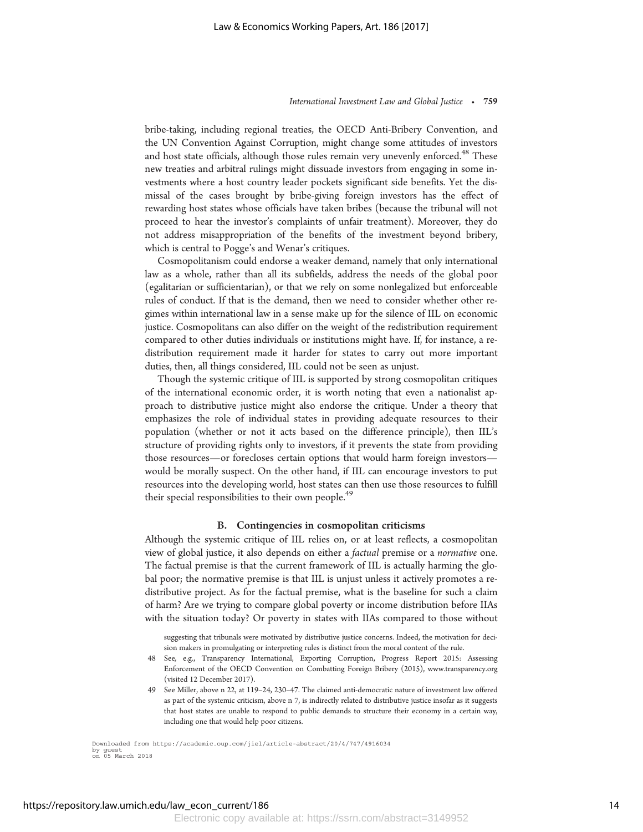bribe-taking, including regional treaties, the OECD Anti-Bribery Convention, and the UN Convention Against Corruption, might change some attitudes of investors and host state officials, although those rules remain very unevenly enforced.<sup>48</sup> These new treaties and arbitral rulings might dissuade investors from engaging in some investments where a host country leader pockets significant side benefits. Yet the dismissal of the cases brought by bribe-giving foreign investors has the effect of rewarding host states whose officials have taken bribes (because the tribunal will not proceed to hear the investor's complaints of unfair treatment). Moreover, they do not address misappropriation of the benefits of the investment beyond bribery, which is central to Pogge's and Wenar's critiques.

Cosmopolitanism could endorse a weaker demand, namely that only international law as a whole, rather than all its subfields, address the needs of the global poor (egalitarian or sufficientarian), or that we rely on some nonlegalized but enforceable rules of conduct. If that is the demand, then we need to consider whether other regimes within international law in a sense make up for the silence of IIL on economic justice. Cosmopolitans can also differ on the weight of the redistribution requirement compared to other duties individuals or institutions might have. If, for instance, a redistribution requirement made it harder for states to carry out more important duties, then, all things considered, IIL could not be seen as unjust.

Though the systemic critique of IIL is supported by strong cosmopolitan critiques of the international economic order, it is worth noting that even a nationalist approach to distributive justice might also endorse the critique. Under a theory that emphasizes the role of individual states in providing adequate resources to their population (whether or not it acts based on the difference principle), then IIL's structure of providing rights only to investors, if it prevents the state from providing those resources—or forecloses certain options that would harm foreign investors would be morally suspect. On the other hand, if IIL can encourage investors to put resources into the developing world, host states can then use those resources to fulfill their special responsibilities to their own people.<sup>49</sup>

#### B. Contingencies in cosmopolitan criticisms

Although the systemic critique of IIL relies on, or at least reflects, a cosmopolitan view of global justice, it also depends on either a factual premise or a normative one. The factual premise is that the current framework of IIL is actually harming the global poor; the normative premise is that IIL is unjust unless it actively promotes a redistributive project. As for the factual premise, what is the baseline for such a claim of harm? Are we trying to compare global poverty or income distribution before IIAs with the situation today? Or poverty in states with IIAs compared to those without

suggesting that tribunals were motivated by distributive justice concerns. Indeed, the motivation for decision makers in promulgating or interpreting rules is distinct from the moral content of the rule.

- 48 See, e.g., Transparency International, Exporting Corruption, Progress Report 2015: Assessing Enforcement of the OECD Convention on Combatting Foreign Bribery (2015), www.transparency.org (visited 12 December 2017).
- 49 See Miller, above n 22, at 119–24, 230–47. The claimed anti-democratic nature of investment law offered as part of the systemic criticism, above n 7, is indirectly related to distributive justice insofar as it suggests that host states are unable to respond to public demands to structure their economy in a certain way, including one that would help poor citizens.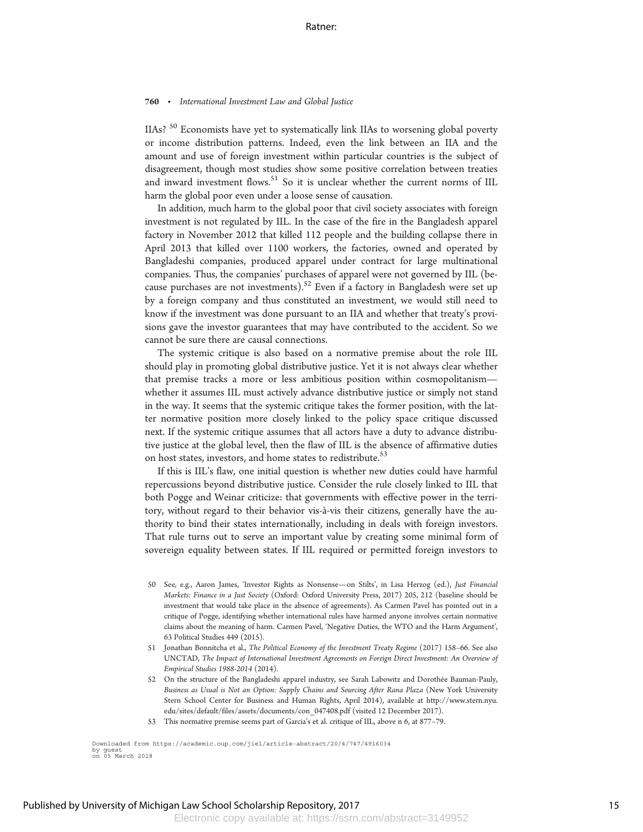IIAs? <sup>50</sup> Economists have yet to systematically link IIAs to worsening global poverty or income distribution patterns. Indeed, even the link between an IIA and the amount and use of foreign investment within particular countries is the subject of disagreement, though most studies show some positive correlation between treaties and inward investment flows.<sup>51</sup> So it is unclear whether the current norms of IIL harm the global poor even under a loose sense of causation.

In addition, much harm to the global poor that civil society associates with foreign investment is not regulated by IIL. In the case of the fire in the Bangladesh apparel factory in November 2012 that killed 112 people and the building collapse there in April 2013 that killed over 1100 workers, the factories, owned and operated by Bangladeshi companies, produced apparel under contract for large multinational companies. Thus, the companies' purchases of apparel were not governed by IIL (because purchases are not investments). $^{52}$  Even if a factory in Bangladesh were set up by a foreign company and thus constituted an investment, we would still need to know if the investment was done pursuant to an IIA and whether that treaty's provisions gave the investor guarantees that may have contributed to the accident. So we cannot be sure there are causal connections.

The systemic critique is also based on a normative premise about the role IIL should play in promoting global distributive justice. Yet it is not always clear whether that premise tracks a more or less ambitious position within cosmopolitanism whether it assumes IIL must actively advance distributive justice or simply not stand in the way. It seems that the systemic critique takes the former position, with the latter normative position more closely linked to the policy space critique discussed next. If the systemic critique assumes that all actors have a duty to advance distributive justice at the global level, then the flaw of IIL is the absence of affirmative duties on host states, investors, and home states to redistribute.<sup>53</sup>

If this is IIL's flaw, one initial question is whether new duties could have harmful repercussions beyond distributive justice. Consider the rule closely linked to IIL that both Pogge and Weinar criticize: that governments with effective power in the territory, without regard to their behavior vis-a`-vis their citizens, generally have the authority to bind their states internationally, including in deals with foreign investors. That rule turns out to serve an important value by creating some minimal form of sovereign equality between states. If IIL required or permitted foreign investors to

- 50 See, e.g., Aaron James, 'Investor Rights as Nonsense—on Stilts', in Lisa Herzog (ed.), Just Financial Markets: Finance in a Just Society (Oxford: Oxford University Press, 2017) 205, 212 (baseline should be investment that would take place in the absence of agreements). As Carmen Pavel has pointed out in a critique of Pogge, identifying whether international rules have harmed anyone involves certain normative claims about the meaning of harm. Carmen Pavel, 'Negative Duties, the WTO and the Harm Argument', 63 Political Studies 449 (2015).
- 51 Jonathan Bonnitcha et al., The Political Economy of the Investment Treaty Regime (2017) 158–66. See also UNCTAD, The Impact of International Investment Agreements on Foreign Direct Investment: An Overview of Empirical Studies 1988-2014 (2014).
- 52 On the structure of the Bangladeshi apparel industry, see Sarah Labowitz and Dorothée Bauman-Pauly, Business as Usual is Not an Option: Supply Chains and Sourcing After Rana Plaza (New York University Stern School Center for Business and Human Rights, April 2014), available at http://www.stern.nyu. edu/sites/default/files/assets/documents/con\_047408.pdf (visited 12 December 2017).
- 53 This normative premise seems part of Garcia's et al. critique of IIL, above n 6, at 877–79.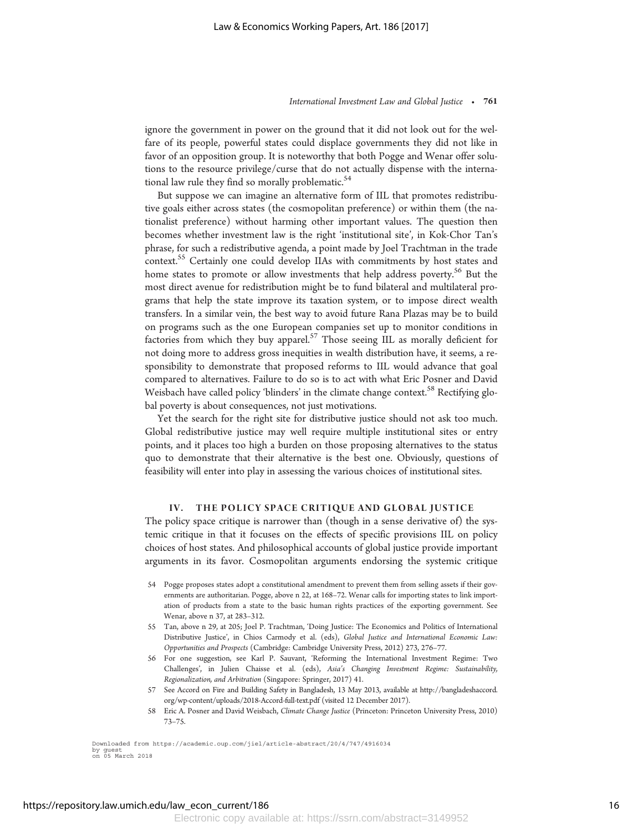ignore the government in power on the ground that it did not look out for the welfare of its people, powerful states could displace governments they did not like in favor of an opposition group. It is noteworthy that both Pogge and Wenar offer solutions to the resource privilege/curse that do not actually dispense with the international law rule they find so morally problematic.<sup>54</sup>

But suppose we can imagine an alternative form of IIL that promotes redistributive goals either across states (the cosmopolitan preference) or within them (the nationalist preference) without harming other important values. The question then becomes whether investment law is the right 'institutional site', in Kok-Chor Tan's phrase, for such a redistributive agenda, a point made by Joel Trachtman in the trade context.55 Certainly one could develop IIAs with commitments by host states and home states to promote or allow investments that help address poverty.<sup>56</sup> But the most direct avenue for redistribution might be to fund bilateral and multilateral programs that help the state improve its taxation system, or to impose direct wealth transfers. In a similar vein, the best way to avoid future Rana Plazas may be to build on programs such as the one European companies set up to monitor conditions in factories from which they buy apparel.<sup>57</sup> Those seeing IIL as morally deficient for not doing more to address gross inequities in wealth distribution have, it seems, a responsibility to demonstrate that proposed reforms to IIL would advance that goal compared to alternatives. Failure to do so is to act with what Eric Posner and David Weisbach have called policy 'blinders' in the climate change context.<sup>58</sup> Rectifying global poverty is about consequences, not just motivations.

Yet the search for the right site for distributive justice should not ask too much. Global redistributive justice may well require multiple institutional sites or entry points, and it places too high a burden on those proposing alternatives to the status quo to demonstrate that their alternative is the best one. Obviously, questions of feasibility will enter into play in assessing the various choices of institutional sites.

## IV. THE POLICY SPACE CRITIQUE AND GLOBAL JUSTICE

The policy space critique is narrower than (though in a sense derivative of) the systemic critique in that it focuses on the effects of specific provisions IIL on policy choices of host states. And philosophical accounts of global justice provide important arguments in its favor. Cosmopolitan arguments endorsing the systemic critique

- 54 Pogge proposes states adopt a constitutional amendment to prevent them from selling assets if their governments are authoritarian. Pogge, above n 22, at 168–72. Wenar calls for importing states to link importation of products from a state to the basic human rights practices of the exporting government. See Wenar, above n 37, at 283–312.
- 55 Tan, above n 29, at 205; Joel P. Trachtman, 'Doing Justice: The Economics and Politics of International Distributive Justice', in Chios Carmody et al. (eds), Global Justice and International Economic Law: Opportunities and Prospects (Cambridge: Cambridge University Press, 2012) 273, 276–77.
- 56 For one suggestion, see Karl P. Sauvant, 'Reforming the International Investment Regime: Two Challenges', in Julien Chaisse et al. (eds), Asia's Changing Investment Regime: Sustainability, Regionalization, and Arbitration (Singapore: Springer, 2017) 41.
- 57 See Accord on Fire and Building Safety in Bangladesh, 13 May 2013, available at http://bangladeshaccord. org/wp-content/uploads/2018-Accord-full-text.pdf (visited 12 December 2017).
- 58 Eric A. Posner and David Weisbach, Climate Change Justice (Princeton: Princeton University Press, 2010) 73–75.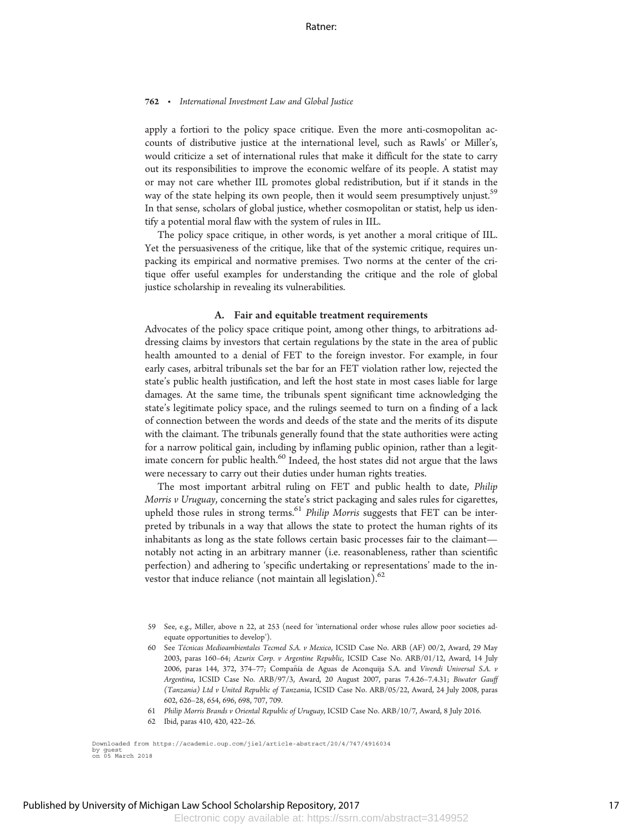apply a fortiori to the policy space critique. Even the more anti-cosmopolitan accounts of distributive justice at the international level, such as Rawls' or Miller's, would criticize a set of international rules that make it difficult for the state to carry out its responsibilities to improve the economic welfare of its people. A statist may or may not care whether IIL promotes global redistribution, but if it stands in the way of the state helping its own people, then it would seem presumptively unjust.<sup>59</sup> In that sense, scholars of global justice, whether cosmopolitan or statist, help us identify a potential moral flaw with the system of rules in IIL.

The policy space critique, in other words, is yet another a moral critique of IIL. Yet the persuasiveness of the critique, like that of the systemic critique, requires unpacking its empirical and normative premises. Two norms at the center of the critique offer useful examples for understanding the critique and the role of global justice scholarship in revealing its vulnerabilities.

#### A. Fair and equitable treatment requirements

Advocates of the policy space critique point, among other things, to arbitrations addressing claims by investors that certain regulations by the state in the area of public health amounted to a denial of FET to the foreign investor. For example, in four early cases, arbitral tribunals set the bar for an FET violation rather low, rejected the state's public health justification, and left the host state in most cases liable for large damages. At the same time, the tribunals spent significant time acknowledging the state's legitimate policy space, and the rulings seemed to turn on a finding of a lack of connection between the words and deeds of the state and the merits of its dispute with the claimant. The tribunals generally found that the state authorities were acting for a narrow political gain, including by inflaming public opinion, rather than a legitimate concern for public health.<sup>60</sup> Indeed, the host states did not argue that the laws were necessary to carry out their duties under human rights treaties.

The most important arbitral ruling on FET and public health to date, Philip Morris v Uruguay, concerning the state's strict packaging and sales rules for cigarettes, upheld those rules in strong terms.<sup>61</sup> Philip Morris suggests that FET can be interpreted by tribunals in a way that allows the state to protect the human rights of its inhabitants as long as the state follows certain basic processes fair to the claimant notably not acting in an arbitrary manner (i.e. reasonableness, rather than scientific perfection) and adhering to 'specific undertaking or representations' made to the investor that induce reliance (not maintain all legislation).<sup>62</sup>

- 59 See, e.g., Miller, above n 22, at 253 (need for 'international order whose rules allow poor societies adequate opportunities to develop').
- 60 See Técnicas Medioambientales Tecmed S.A. v Mexico, ICSID Case No. ARB (AF) 00/2, Award, 29 May 2003, paras 160–64; Azurix Corp. v Argentine Republic, ICSID Case No. ARB/01/12, Award, 14 July 2006, paras 144, 372, 374-77; Compañía de Aguas de Aconquija S.A. and Vivendi Universal S.A. v Argentina, ICSID Case No. ARB/97/3, Award, 20 August 2007, paras 7.4.26–7.4.31; Biwater Gauff (Tanzania) Ltd v United Republic of Tanzania, ICSID Case No. ARB/05/22, Award, 24 July 2008, paras 602, 626–28, 654, 696, 698, 707, 709.
- 61 Philip Morris Brands v Oriental Republic of Uruguay, ICSID Case No. ARB/10/7, Award, 8 July 2016.
- 62 Ibid, paras 410, 420, 422–26.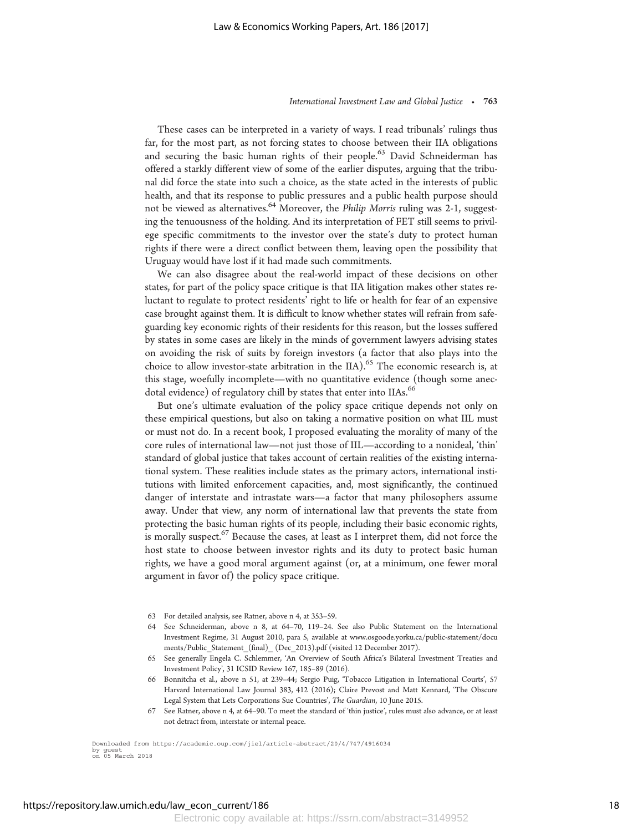These cases can be interpreted in a variety of ways. I read tribunals' rulings thus far, for the most part, as not forcing states to choose between their IIA obligations and securing the basic human rights of their people.<sup>63</sup> David Schneiderman has offered a starkly different view of some of the earlier disputes, arguing that the tribunal did force the state into such a choice, as the state acted in the interests of public health, and that its response to public pressures and a public health purpose should not be viewed as alternatives.<sup>64</sup> Moreover, the *Philip Morris* ruling was 2-1, suggesting the tenuousness of the holding. And its interpretation of FET still seems to privilege specific commitments to the investor over the state's duty to protect human rights if there were a direct conflict between them, leaving open the possibility that Uruguay would have lost if it had made such commitments.

We can also disagree about the real-world impact of these decisions on other states, for part of the policy space critique is that IIA litigation makes other states reluctant to regulate to protect residents' right to life or health for fear of an expensive case brought against them. It is difficult to know whether states will refrain from safeguarding key economic rights of their residents for this reason, but the losses suffered by states in some cases are likely in the minds of government lawyers advising states on avoiding the risk of suits by foreign investors (a factor that also plays into the choice to allow investor-state arbitration in the IIA).<sup>65</sup> The economic research is, at this stage, woefully incomplete—with no quantitative evidence (though some anecdotal evidence) of regulatory chill by states that enter into IIAs.<sup>66</sup>

But one's ultimate evaluation of the policy space critique depends not only on these empirical questions, but also on taking a normative position on what IIL must or must not do. In a recent book, I proposed evaluating the morality of many of the core rules of international law—not just those of IIL—according to a nonideal, 'thin' standard of global justice that takes account of certain realities of the existing international system. These realities include states as the primary actors, international institutions with limited enforcement capacities, and, most significantly, the continued danger of interstate and intrastate wars—a factor that many philosophers assume away. Under that view, any norm of international law that prevents the state from protecting the basic human rights of its people, including their basic economic rights, is morally suspect. $67$  Because the cases, at least as I interpret them, did not force the host state to choose between investor rights and its duty to protect basic human rights, we have a good moral argument against (or, at a minimum, one fewer moral argument in favor of) the policy space critique.

- 63 For detailed analysis, see Ratner, above n 4, at 353–59.
- 64 See Schneiderman, above n 8, at 64–70, 119–24. See also Public Statement on the International Investment Regime, 31 August 2010, para 5, available at www.osgoode.yorku.ca/public-statement/docu ments/Public\_Statement\_(final)\_ (Dec\_2013).pdf (visited 12 December 2017).
- 65 See generally Engela C. Schlemmer, 'An Overview of South Africa's Bilateral Investment Treaties and Investment Policy', 31 ICSID Review 167, 185–89 (2016).
- 66 Bonnitcha et al., above n 51, at 239–44; Sergio Puig, 'Tobacco Litigation in International Courts', 57 Harvard International Law Journal 383, 412 (2016); Claire Prevost and Matt Kennard, 'The Obscure Legal System that Lets Corporations Sue Countries', The Guardian, 10 June 2015.
- 67 See Ratner, above n 4, at 64–90. To meet the standard of 'thin justice', rules must also advance, or at least not detract from, interstate or internal peace.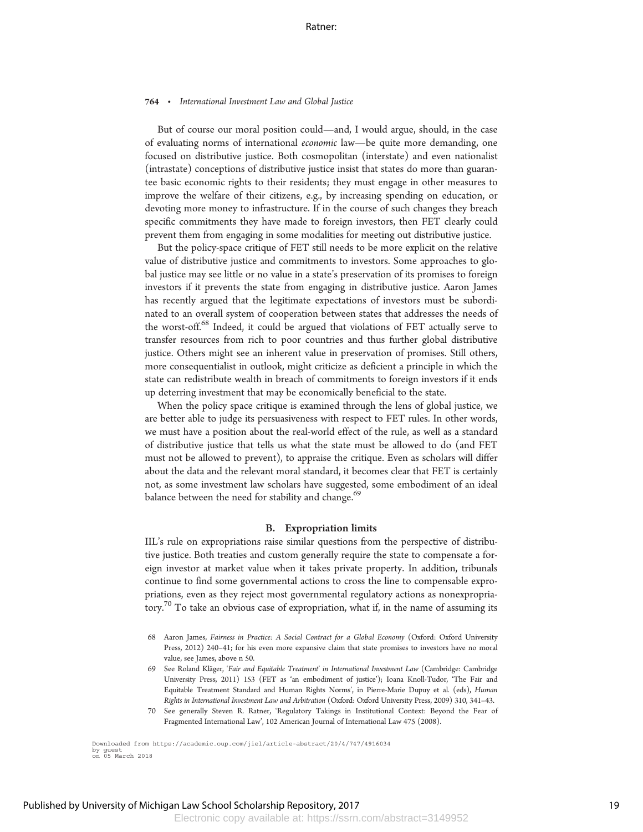But of course our moral position could—and, I would argue, should, in the case of evaluating norms of international economic law—be quite more demanding, one focused on distributive justice. Both cosmopolitan (interstate) and even nationalist (intrastate) conceptions of distributive justice insist that states do more than guarantee basic economic rights to their residents; they must engage in other measures to improve the welfare of their citizens, e.g., by increasing spending on education, or devoting more money to infrastructure. If in the course of such changes they breach specific commitments they have made to foreign investors, then FET clearly could prevent them from engaging in some modalities for meeting out distributive justice.

But the policy-space critique of FET still needs to be more explicit on the relative value of distributive justice and commitments to investors. Some approaches to global justice may see little or no value in a state's preservation of its promises to foreign investors if it prevents the state from engaging in distributive justice. Aaron James has recently argued that the legitimate expectations of investors must be subordinated to an overall system of cooperation between states that addresses the needs of the worst-off.<sup>68</sup> Indeed, it could be argued that violations of FET actually serve to transfer resources from rich to poor countries and thus further global distributive justice. Others might see an inherent value in preservation of promises. Still others, more consequentialist in outlook, might criticize as deficient a principle in which the state can redistribute wealth in breach of commitments to foreign investors if it ends up deterring investment that may be economically beneficial to the state.

When the policy space critique is examined through the lens of global justice, we are better able to judge its persuasiveness with respect to FET rules. In other words, we must have a position about the real-world effect of the rule, as well as a standard of distributive justice that tells us what the state must be allowed to do (and FET must not be allowed to prevent), to appraise the critique. Even as scholars will differ about the data and the relevant moral standard, it becomes clear that FET is certainly not, as some investment law scholars have suggested, some embodiment of an ideal balance between the need for stability and change.<sup>69</sup>

#### B. Expropriation limits

IIL's rule on expropriations raise similar questions from the perspective of distributive justice. Both treaties and custom generally require the state to compensate a foreign investor at market value when it takes private property. In addition, tribunals continue to find some governmental actions to cross the line to compensable expropriations, even as they reject most governmental regulatory actions as nonexpropriatory.<sup>70</sup> To take an obvious case of expropriation, what if, in the name of assuming its

<sup>68</sup> Aaron James, Fairness in Practice: A Social Contract for a Global Economy (Oxford: Oxford University Press, 2012) 240–41; for his even more expansive claim that state promises to investors have no moral value, see James, above n 50.

<sup>69</sup> See Roland Kläger, 'Fair and Equitable Treatment' in International Investment Law (Cambridge: Cambridge University Press, 2011) 153 (FET as 'an embodiment of justice'); Ioana Knoll-Tudor, 'The Fair and Equitable Treatment Standard and Human Rights Norms', in Pierre-Marie Dupuy et al. (eds), Human Rights in International Investment Law and Arbitration (Oxford: Oxford University Press, 2009) 310, 341–43.

<sup>70</sup> See generally Steven R. Ratner, 'Regulatory Takings in Institutional Context: Beyond the Fear of Fragmented International Law', 102 American Journal of International Law 475 (2008).

Downloaded from https://academic.oup.com/jiel/article-abstract/20/4/747/4916034 by guest on 05 March 2018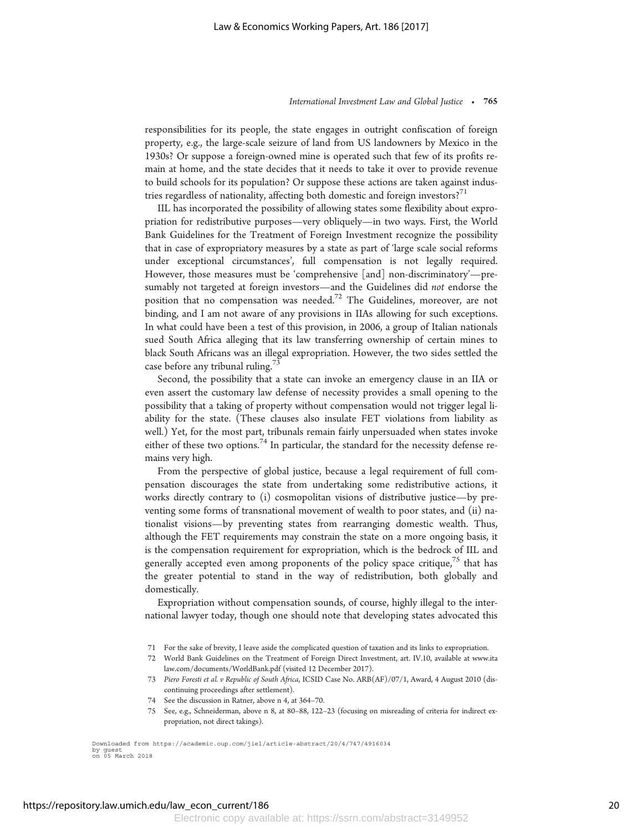responsibilities for its people, the state engages in outright confiscation of foreign property, e.g., the large-scale seizure of land from US landowners by Mexico in the 1930s? Or suppose a foreign-owned mine is operated such that few of its profits remain at home, and the state decides that it needs to take it over to provide revenue to build schools for its population? Or suppose these actions are taken against industries regardless of nationality, affecting both domestic and foreign investors?<sup>71</sup>

IIL has incorporated the possibility of allowing states some flexibility about expropriation for redistributive purposes—very obliquely—in two ways. First, the World Bank Guidelines for the Treatment of Foreign Investment recognize the possibility that in case of expropriatory measures by a state as part of 'large scale social reforms under exceptional circumstances', full compensation is not legally required. However, those measures must be 'comprehensive [and] non-discriminatory'—presumably not targeted at foreign investors—and the Guidelines did not endorse the position that no compensation was needed.<sup>72</sup> The Guidelines, moreover, are not binding, and I am not aware of any provisions in IIAs allowing for such exceptions. In what could have been a test of this provision, in 2006, a group of Italian nationals sued South Africa alleging that its law transferring ownership of certain mines to black South Africans was an illegal expropriation. However, the two sides settled the case before any tribunal ruling.<sup>73</sup>

Second, the possibility that a state can invoke an emergency clause in an IIA or even assert the customary law defense of necessity provides a small opening to the possibility that a taking of property without compensation would not trigger legal liability for the state. (These clauses also insulate FET violations from liability as well.) Yet, for the most part, tribunals remain fairly unpersuaded when states invoke either of these two options.<sup>74</sup> In particular, the standard for the necessity defense remains very high.

From the perspective of global justice, because a legal requirement of full compensation discourages the state from undertaking some redistributive actions, it works directly contrary to (i) cosmopolitan visions of distributive justice—by preventing some forms of transnational movement of wealth to poor states, and (ii) nationalist visions—by preventing states from rearranging domestic wealth. Thus, although the FET requirements may constrain the state on a more ongoing basis, it is the compensation requirement for expropriation, which is the bedrock of IIL and generally accepted even among proponents of the policy space critique,<sup> $\frac{7}{5}$ </sup> that has the greater potential to stand in the way of redistribution, both globally and domestically.

Expropriation without compensation sounds, of course, highly illegal to the international lawyer today, though one should note that developing states advocated this

- 71 For the sake of brevity, I leave aside the complicated question of taxation and its links to expropriation.
- 72 World Bank Guidelines on the Treatment of Foreign Direct Investment, art. IV.10, available at www.ita law.com/documents/WorldBank.pdf (visited 12 December 2017).
- 73 Piero Foresti et al. v Republic of South Africa, ICSID Case No. ARB(AF)/07/1, Award, 4 August 2010 (discontinuing proceedings after settlement).
- 74 See the discussion in Ratner, above n 4, at 364–70.
- 75 See, e.g., Schneiderman, above n 8, at 80–88, 122–23 (focusing on misreading of criteria for indirect expropriation, not direct takings).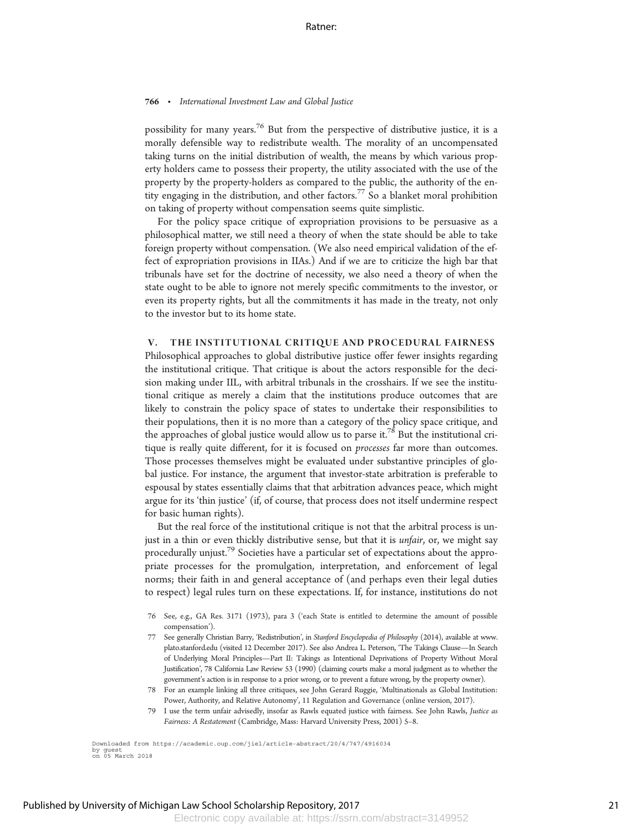possibility for many years.<sup>76</sup> But from the perspective of distributive justice, it is a morally defensible way to redistribute wealth. The morality of an uncompensated taking turns on the initial distribution of wealth, the means by which various property holders came to possess their property, the utility associated with the use of the property by the property-holders as compared to the public, the authority of the entity engaging in the distribution, and other factors.<sup>77</sup> So a blanket moral prohibition on taking of property without compensation seems quite simplistic.

For the policy space critique of expropriation provisions to be persuasive as a philosophical matter, we still need a theory of when the state should be able to take foreign property without compensation. (We also need empirical validation of the effect of expropriation provisions in IIAs.) And if we are to criticize the high bar that tribunals have set for the doctrine of necessity, we also need a theory of when the state ought to be able to ignore not merely specific commitments to the investor, or even its property rights, but all the commitments it has made in the treaty, not only to the investor but to its home state.

#### V. THE INSTITUTIONAL CRITIQUE AND PROCEDURAL FAIRNESS

Philosophical approaches to global distributive justice offer fewer insights regarding the institutional critique. That critique is about the actors responsible for the decision making under IIL, with arbitral tribunals in the crosshairs. If we see the institutional critique as merely a claim that the institutions produce outcomes that are likely to constrain the policy space of states to undertake their responsibilities to their populations, then it is no more than a category of the policy space critique, and the approaches of global justice would allow us to parse it.<sup>78</sup> But the institutional critique is really quite different, for it is focused on *processes* far more than outcomes. Those processes themselves might be evaluated under substantive principles of global justice. For instance, the argument that investor-state arbitration is preferable to espousal by states essentially claims that that arbitration advances peace, which might argue for its 'thin justice' (if, of course, that process does not itself undermine respect for basic human rights).

But the real force of the institutional critique is not that the arbitral process is unjust in a thin or even thickly distributive sense, but that it is *unfair*, or, we might say procedurally unjust.<sup>79</sup> Societies have a particular set of expectations about the appropriate processes for the promulgation, interpretation, and enforcement of legal norms; their faith in and general acceptance of (and perhaps even their legal duties to respect) legal rules turn on these expectations. If, for instance, institutions do not

- 76 See, e.g., GA Res. 3171 (1973), para 3 ('each State is entitled to determine the amount of possible compensation').
- 77 See generally Christian Barry, 'Redistribution', in Stanford Encyclopedia of Philosophy (2014), available at www. plato.stanford.edu (visited 12 December 2017). See also Andrea L. Peterson, 'The Takings Clause—In Search of Underlying Moral Principles—Part II: Takings as Intentional Deprivations of Property Without Moral Justification', 78 California Law Review 53 (1990) (claiming courts make a moral judgment as to whether the government's action is in response to a prior wrong, or to prevent a future wrong, by the property owner).
- 78 For an example linking all three critiques, see John Gerard Ruggie, 'Multinationals as Global Institution: Power, Authority, and Relative Autonomy', 11 Regulation and Governance (online version, 2017).
- 79 I use the term unfair advisedly, insofar as Rawls equated justice with fairness. See John Rawls, Justice as Fairness: A Restatement (Cambridge, Mass: Harvard University Press, 2001) 5–8.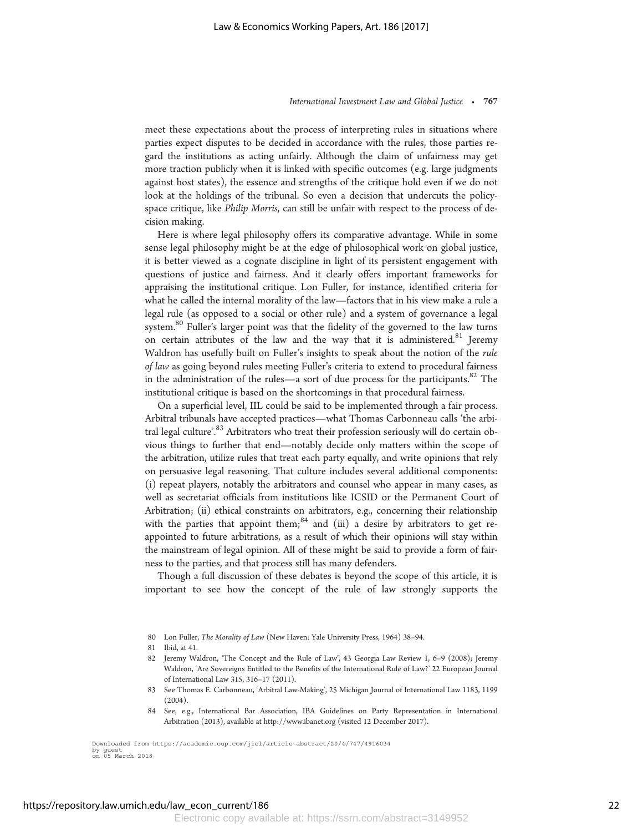meet these expectations about the process of interpreting rules in situations where parties expect disputes to be decided in accordance with the rules, those parties regard the institutions as acting unfairly. Although the claim of unfairness may get more traction publicly when it is linked with specific outcomes (e.g. large judgments against host states), the essence and strengths of the critique hold even if we do not look at the holdings of the tribunal. So even a decision that undercuts the policyspace critique, like Philip Morris, can still be unfair with respect to the process of decision making.

Here is where legal philosophy offers its comparative advantage. While in some sense legal philosophy might be at the edge of philosophical work on global justice, it is better viewed as a cognate discipline in light of its persistent engagement with questions of justice and fairness. And it clearly offers important frameworks for appraising the institutional critique. Lon Fuller, for instance, identified criteria for what he called the internal morality of the law—factors that in his view make a rule a legal rule (as opposed to a social or other rule) and a system of governance a legal system.<sup>80</sup> Fuller's larger point was that the fidelity of the governed to the law turns on certain attributes of the law and the way that it is administered.<sup>81</sup> Jeremy Waldron has usefully built on Fuller's insights to speak about the notion of the rule of law as going beyond rules meeting Fuller's criteria to extend to procedural fairness in the administration of the rules—a sort of due process for the participants.<sup>82</sup> The institutional critique is based on the shortcomings in that procedural fairness.

On a superficial level, IIL could be said to be implemented through a fair process. Arbitral tribunals have accepted practices—what Thomas Carbonneau calls 'the arbitral legal culture'.<sup>83</sup> Arbitrators who treat their profession seriously will do certain obvious things to further that end—notably decide only matters within the scope of the arbitration, utilize rules that treat each party equally, and write opinions that rely on persuasive legal reasoning. That culture includes several additional components: (i) repeat players, notably the arbitrators and counsel who appear in many cases, as well as secretariat officials from institutions like ICSID or the Permanent Court of Arbitration; (ii) ethical constraints on arbitrators, e.g., concerning their relationship with the parties that appoint them; $84$  and (iii) a desire by arbitrators to get reappointed to future arbitrations, as a result of which their opinions will stay within the mainstream of legal opinion. All of these might be said to provide a form of fairness to the parties, and that process still has many defenders.

Though a full discussion of these debates is beyond the scope of this article, it is important to see how the concept of the rule of law strongly supports the

80 Lon Fuller, The Morality of Law (New Haven: Yale University Press, 1964) 38–94.

- 82 Jeremy Waldron, 'The Concept and the Rule of Law', 43 Georgia Law Review 1, 6–9 (2008); Jeremy Waldron, 'Are Sovereigns Entitled to the Benefits of the International Rule of Law?' 22 European Journal of International Law 315, 316–17 (2011).
- 83 See Thomas E. Carbonneau, 'Arbitral Law-Making', 25 Michigan Journal of International Law 1183, 1199  $(2004).$
- 84 See, e.g., International Bar Association, IBA Guidelines on Party Representation in International Arbitration (2013), available at http://www.ibanet.org (visited 12 December 2017).

<sup>81</sup> Ibid, at 41.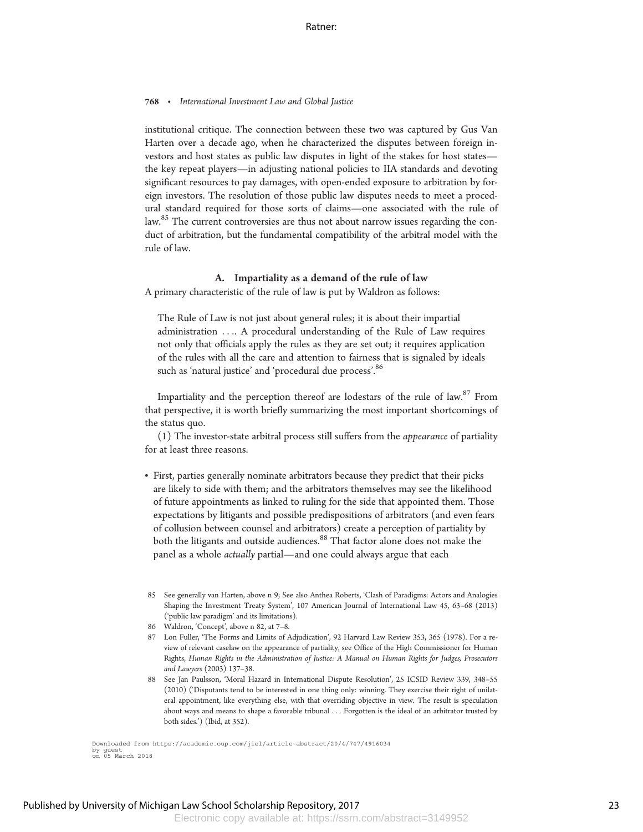institutional critique. The connection between these two was captured by Gus Van Harten over a decade ago, when he characterized the disputes between foreign investors and host states as public law disputes in light of the stakes for host states the key repeat players—in adjusting national policies to IIA standards and devoting significant resources to pay damages, with open-ended exposure to arbitration by foreign investors. The resolution of those public law disputes needs to meet a procedural standard required for those sorts of claims—one associated with the rule of law.<sup>85</sup> The current controversies are thus not about narrow issues regarding the conduct of arbitration, but the fundamental compatibility of the arbitral model with the rule of law.

### A. Impartiality as a demand of the rule of law

A primary characteristic of the rule of law is put by Waldron as follows:

The Rule of Law is not just about general rules; it is about their impartial administration .... A procedural understanding of the Rule of Law requires not only that officials apply the rules as they are set out; it requires application of the rules with all the care and attention to fairness that is signaled by ideals such as 'natural justice' and 'procedural due process'.<sup>86</sup>

Impartiality and the perception thereof are lodestars of the rule of law. $87$  From that perspective, it is worth briefly summarizing the most important shortcomings of the status quo.

(1) The investor-state arbitral process still suffers from the appearance of partiality for at least three reasons.

- First, parties generally nominate arbitrators because they predict that their picks are likely to side with them; and the arbitrators themselves may see the likelihood of future appointments as linked to ruling for the side that appointed them. Those expectations by litigants and possible predispositions of arbitrators (and even fears of collusion between counsel and arbitrators) create a perception of partiality by both the litigants and outside audiences.<sup>88</sup> That factor alone does not make the panel as a whole actually partial—and one could always argue that each
- 85 See generally van Harten, above n 9; See also Anthea Roberts, 'Clash of Paradigms: Actors and Analogies Shaping the Investment Treaty System', 107 American Journal of International Law 45, 63–68 (2013) ('public law paradigm' and its limitations).
- 86 Waldron, 'Concept', above n 82, at 7–8.
- 87 Lon Fuller, 'The Forms and Limits of Adjudication', 92 Harvard Law Review 353, 365 (1978). For a review of relevant caselaw on the appearance of partiality, see Office of the High Commissioner for Human Rights, Human Rights in the Administration of Justice: A Manual on Human Rights for Judges, Prosecutors and Lawyers (2003) 137–38.
- 88 See Jan Paulsson, 'Moral Hazard in International Dispute Resolution', 25 ICSID Review 339, 348–55 (2010) ('Disputants tend to be interested in one thing only: winning. They exercise their right of unilateral appointment, like everything else, with that overriding objective in view. The result is speculation about ways and means to shape a favorable tribunal ... Forgotten is the ideal of an arbitrator trusted by both sides.') (Ibid, at 352).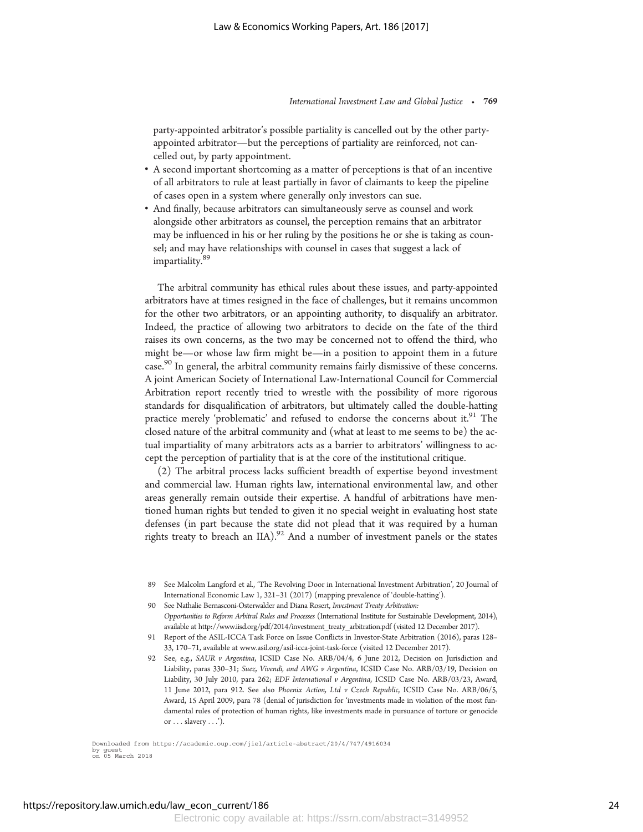party-appointed arbitrator's possible partiality is cancelled out by the other partyappointed arbitrator—but the perceptions of partiality are reinforced, not cancelled out, by party appointment.

- A second important shortcoming as a matter of perceptions is that of an incentive of all arbitrators to rule at least partially in favor of claimants to keep the pipeline of cases open in a system where generally only investors can sue.
- And finally, because arbitrators can simultaneously serve as counsel and work alongside other arbitrators as counsel, the perception remains that an arbitrator may be influenced in his or her ruling by the positions he or she is taking as counsel; and may have relationships with counsel in cases that suggest a lack of impartiality.<sup>89</sup>

The arbitral community has ethical rules about these issues, and party-appointed arbitrators have at times resigned in the face of challenges, but it remains uncommon for the other two arbitrators, or an appointing authority, to disqualify an arbitrator. Indeed, the practice of allowing two arbitrators to decide on the fate of the third raises its own concerns, as the two may be concerned not to offend the third, who might be—or whose law firm might be—in a position to appoint them in a future case.<sup>90</sup> In general, the arbitral community remains fairly dismissive of these concerns. A joint American Society of International Law-International Council for Commercial Arbitration report recently tried to wrestle with the possibility of more rigorous standards for disqualification of arbitrators, but ultimately called the double-hatting practice merely 'problematic' and refused to endorse the concerns about it.<sup>91</sup> The closed nature of the arbitral community and (what at least to me seems to be) the actual impartiality of many arbitrators acts as a barrier to arbitrators' willingness to accept the perception of partiality that is at the core of the institutional critique.

(2) The arbitral process lacks sufficient breadth of expertise beyond investment and commercial law. Human rights law, international environmental law, and other areas generally remain outside their expertise. A handful of arbitrations have mentioned human rights but tended to given it no special weight in evaluating host state defenses (in part because the state did not plead that it was required by a human rights treaty to breach an IIA).<sup>92</sup> And a number of investment panels or the states

<sup>89</sup> See Malcolm Langford et al., 'The Revolving Door in International Investment Arbitration', 20 Journal of International Economic Law 1, 321–31 (2017) (mapping prevalence of 'double-hatting').

<sup>90</sup> See Nathalie Bernasconi-Osterwalder and Diana Rosert, Investment Treaty Arbitration: Opportunities to Reform Arbitral Rules and Processes (International Institute for Sustainable Development, 2014), available at http://www.iisd.org/pdf/2014/investment\_treaty\_arbitration.pdf (visited 12 December 2017).

<sup>91</sup> Report of the ASIL-ICCA Task Force on Issue Conflicts in Investor-State Arbitration (2016), paras 128– 33, 170–71, available at www.asil.org/asil-icca-joint-task-force (visited 12 December 2017).

<sup>92</sup> See, e.g., SAUR v Argentina, ICSID Case No. ARB/04/4, 6 June 2012, Decision on Jurisdiction and Liability, paras 330–31; Suez, Vivendi, and AWG v Argentina, ICSID Case No. ARB/03/19, Decision on Liability, 30 July 2010, para 262; EDF International v Argentina, ICSID Case No. ARB/03/23, Award, 11 June 2012, para 912. See also Phoenix Action, Ltd v Czech Republic, ICSID Case No. ARB/06/5, Award, 15 April 2009, para 78 (denial of jurisdiction for 'investments made in violation of the most fundamental rules of protection of human rights, like investments made in pursuance of torture or genocide or ... slavery ...').

Downloaded from https://academic.oup.com/jiel/article-abstract/20/4/747/4916034 by guest on 05 March 2018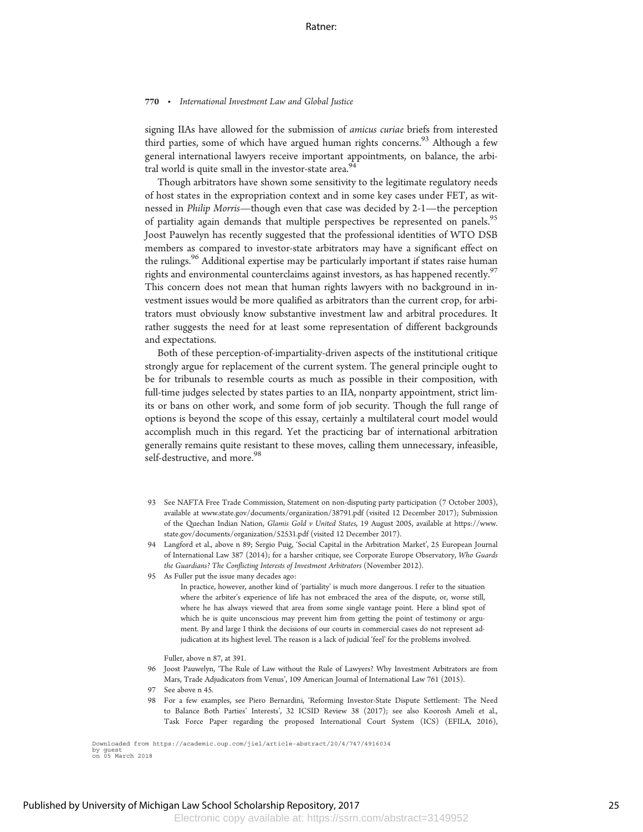signing IIAs have allowed for the submission of amicus curiae briefs from interested third parties, some of which have argued human rights concerns.<sup>93</sup> Although a few general international lawyers receive important appointments, on balance, the arbitral world is quite small in the investor-state area.<sup>94</sup>

Though arbitrators have shown some sensitivity to the legitimate regulatory needs of host states in the expropriation context and in some key cases under FET, as witnessed in Philip Morris—though even that case was decided by 2-1—the perception of partiality again demands that multiple perspectives be represented on panels.<sup>95</sup> Joost Pauwelyn has recently suggested that the professional identities of WTO DSB members as compared to investor-state arbitrators may have a significant effect on the rulings.<sup>96</sup> Additional expertise may be particularly important if states raise human rights and environmental counterclaims against investors, as has happened recently. $\frac{9}{2}$ This concern does not mean that human rights lawyers with no background in investment issues would be more qualified as arbitrators than the current crop, for arbitrators must obviously know substantive investment law and arbitral procedures. It rather suggests the need for at least some representation of different backgrounds and expectations.

Both of these perception-of-impartiality-driven aspects of the institutional critique strongly argue for replacement of the current system. The general principle ought to be for tribunals to resemble courts as much as possible in their composition, with full-time judges selected by states parties to an IIA, nonparty appointment, strict limits or bans on other work, and some form of job security. Though the full range of options is beyond the scope of this essay, certainly a multilateral court model would accomplish much in this regard. Yet the practicing bar of international arbitration generally remains quite resistant to these moves, calling them unnecessary, infeasible, self-destructive, and more.<sup>98</sup>

- 93 See NAFTA Free Trade Commission, Statement on non-disputing party participation (7 October 2003), available at www.state.gov/documents/organization/38791.pdf (visited 12 December 2017); Submission of the Quechan Indian Nation, Glamis Gold v United States, 19 August 2005, available at https://www. state.gov/documents/organization/52531.pdf (visited 12 December 2017).
- 94 Langford et al., above n 89; Sergio Puig, 'Social Capital in the Arbitration Market', 25 European Journal of International Law 387 (2014); for a harsher critique, see Corporate Europe Observatory, Who Guards the Guardians? The Conflicting Interests of Investment Arbitrators (November 2012).
- 95 As Fuller put the issue many decades ago:

In practice, however, another kind of 'partiality' is much more dangerous. I refer to the situation where the arbiter's experience of life has not embraced the area of the dispute, or, worse still, where he has always viewed that area from some single vantage point. Here a blind spot of which he is quite unconscious may prevent him from getting the point of testimony or argument. By and large I think the decisions of our courts in commercial cases do not represent adjudication at its highest level. The reason is a lack of judicial 'feel' for the problems involved.

Fuller, above n 87, at 391.

- 96 Joost Pauwelyn, 'The Rule of Law without the Rule of Lawyers? Why Investment Arbitrators are from Mars, Trade Adjudicators from Venus', 109 American Journal of International Law 761 (2015).
- 97 See above n 45.
- 98 For a few examples, see Piero Bernardini, 'Reforming Investor-State Dispute Settlement: The Need to Balance Both Parties' Interests', 32 ICSID Review 38 (2017); see also Koorosh Ameli et al., Task Force Paper regarding the proposed International Court System (ICS) (EFILA, 2016),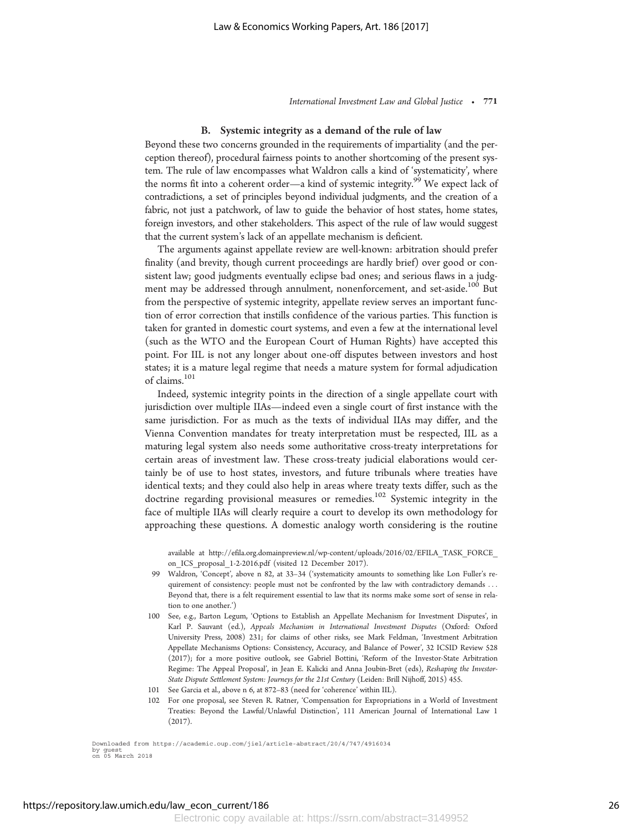#### B. Systemic integrity as a demand of the rule of law

Beyond these two concerns grounded in the requirements of impartiality (and the perception thereof), procedural fairness points to another shortcoming of the present system. The rule of law encompasses what Waldron calls a kind of 'systematicity', where the norms fit into a coherent order—a kind of systemic integrity.<sup>99</sup> We expect lack of contradictions, a set of principles beyond individual judgments, and the creation of a fabric, not just a patchwork, of law to guide the behavior of host states, home states, foreign investors, and other stakeholders. This aspect of the rule of law would suggest that the current system's lack of an appellate mechanism is deficient.

The arguments against appellate review are well-known: arbitration should prefer finality (and brevity, though current proceedings are hardly brief) over good or consistent law; good judgments eventually eclipse bad ones; and serious flaws in a judgment may be addressed through annulment, nonenforcement, and set-aside.<sup>100</sup> But from the perspective of systemic integrity, appellate review serves an important function of error correction that instills confidence of the various parties. This function is taken for granted in domestic court systems, and even a few at the international level (such as the WTO and the European Court of Human Rights) have accepted this point. For IIL is not any longer about one-off disputes between investors and host states; it is a mature legal regime that needs a mature system for formal adjudication of claims.101

Indeed, systemic integrity points in the direction of a single appellate court with jurisdiction over multiple IIAs—indeed even a single court of first instance with the same jurisdiction. For as much as the texts of individual IIAs may differ, and the Vienna Convention mandates for treaty interpretation must be respected, IIL as a maturing legal system also needs some authoritative cross-treaty interpretations for certain areas of investment law. These cross-treaty judicial elaborations would certainly be of use to host states, investors, and future tribunals where treaties have identical texts; and they could also help in areas where treaty texts differ, such as the doctrine regarding provisional measures or remedies.<sup>102</sup> Systemic integrity in the face of multiple IIAs will clearly require a court to develop its own methodology for approaching these questions. A domestic analogy worth considering is the routine

available at http://efila.org.domainpreview.nl/wp-content/uploads/2016/02/EFILA\_TASK\_FORCE\_ on ICS proposal 1-2-2016.pdf (visited 12 December 2017).

- 99 Waldron, 'Concept', above n 82, at 33–34 ('systematicity amounts to something like Lon Fuller's requirement of consistency: people must not be confronted by the law with contradictory demands ... Beyond that, there is a felt requirement essential to law that its norms make some sort of sense in relation to one another.')
- 100 See, e.g., Barton Legum, 'Options to Establish an Appellate Mechanism for Investment Disputes', in Karl P. Sauvant (ed.), Appeals Mechanism in International Investment Disputes (Oxford: Oxford University Press, 2008) 231; for claims of other risks, see Mark Feldman, 'Investment Arbitration Appellate Mechanisms Options: Consistency, Accuracy, and Balance of Power', 32 ICSID Review 528 (2017); for a more positive outlook, see Gabriel Bottini, 'Reform of the Investor-State Arbitration Regime: The Appeal Proposal', in Jean E. Kalicki and Anna Joubin-Bret (eds), Reshaping the Investor-State Dispute Settlement System: Journeys for the 21st Century (Leiden: Brill Nijhoff, 2015) 455.
- 101 See Garcia et al., above n 6, at 872–83 (need for 'coherence' within IIL).
- 102 For one proposal, see Steven R. Ratner, 'Compensation for Expropriations in a World of Investment Treaties: Beyond the Lawful/Unlawful Distinction', 111 American Journal of International Law 1 (2017).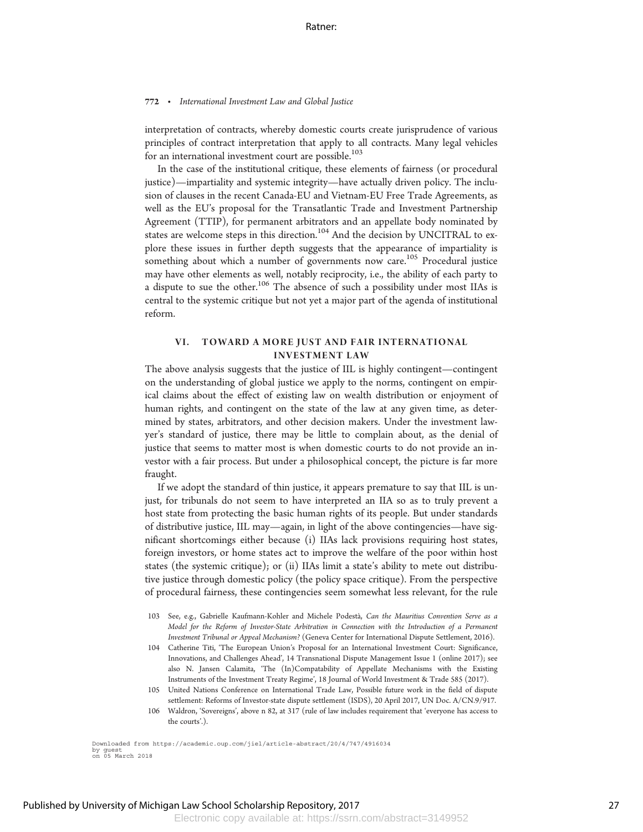interpretation of contracts, whereby domestic courts create jurisprudence of various principles of contract interpretation that apply to all contracts. Many legal vehicles for an international investment court are possible.<sup>103</sup>

In the case of the institutional critique, these elements of fairness (or procedural justice)—impartiality and systemic integrity—have actually driven policy. The inclusion of clauses in the recent Canada-EU and Vietnam-EU Free Trade Agreements, as well as the EU's proposal for the Transatlantic Trade and Investment Partnership Agreement (TTIP), for permanent arbitrators and an appellate body nominated by states are welcome steps in this direction.<sup>104</sup> And the decision by UNCITRAL to explore these issues in further depth suggests that the appearance of impartiality is something about which a number of governments now care.<sup>105</sup> Procedural justice may have other elements as well, notably reciprocity, i.e., the ability of each party to a dispute to sue the other.<sup>106</sup> The absence of such a possibility under most IIAs is central to the systemic critique but not yet a major part of the agenda of institutional reform.

## VI. TOWARD A MORE JUST AND FAIR INTERNATIONAL INVESTMENT LAW

The above analysis suggests that the justice of IIL is highly contingent—contingent on the understanding of global justice we apply to the norms, contingent on empirical claims about the effect of existing law on wealth distribution or enjoyment of human rights, and contingent on the state of the law at any given time, as determined by states, arbitrators, and other decision makers. Under the investment lawyer's standard of justice, there may be little to complain about, as the denial of justice that seems to matter most is when domestic courts to do not provide an investor with a fair process. But under a philosophical concept, the picture is far more fraught.

If we adopt the standard of thin justice, it appears premature to say that IIL is unjust, for tribunals do not seem to have interpreted an IIA so as to truly prevent a host state from protecting the basic human rights of its people. But under standards of distributive justice, IIL may—again, in light of the above contingencies—have significant shortcomings either because (i) IIAs lack provisions requiring host states, foreign investors, or home states act to improve the welfare of the poor within host states (the systemic critique); or (ii) IIAs limit a state's ability to mete out distributive justice through domestic policy (the policy space critique). From the perspective of procedural fairness, these contingencies seem somewhat less relevant, for the rule

- 104 Catherine Titi, 'The European Union's Proposal for an International Investment Court: Significance, Innovations, and Challenges Ahead', 14 Transnational Dispute Management Issue 1 (online 2017); see also N. Jansen Calamita, 'The (In)Compatability of Appellate Mechanisms with the Existing Instruments of the Investment Treaty Regime', 18 Journal of World Investment & Trade 585 (2017).
- 105 United Nations Conference on International Trade Law, Possible future work in the field of dispute settlement: Reforms of Investor-state dispute settlement (ISDS), 20 April 2017, UN Doc. A/CN.9/917.
- 106 Waldron, 'Sovereigns', above n 82, at 317 (rule of law includes requirement that 'everyone has access to the courts'.).

<sup>103</sup> See, e.g., Gabrielle Kaufmann-Kohler and Michele Podestà, Can the Mauritius Convention Serve as a Model for the Reform of Investor-State Arbitration in Connection with the Introduction of a Permanent Investment Tribunal or Appeal Mechanism? (Geneva Center for International Dispute Settlement, 2016).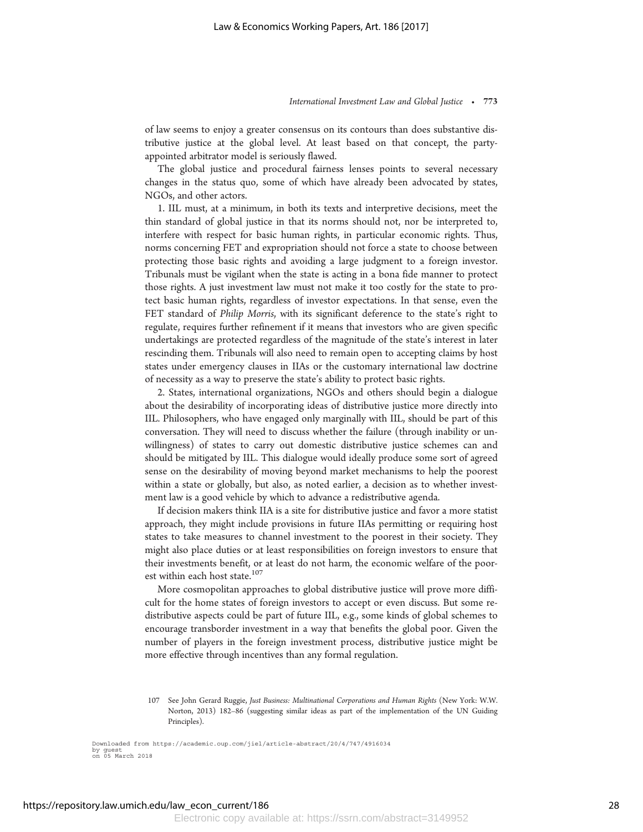of law seems to enjoy a greater consensus on its contours than does substantive distributive justice at the global level. At least based on that concept, the partyappointed arbitrator model is seriously flawed.

The global justice and procedural fairness lenses points to several necessary changes in the status quo, some of which have already been advocated by states, NGOs, and other actors.

1. IIL must, at a minimum, in both its texts and interpretive decisions, meet the thin standard of global justice in that its norms should not, nor be interpreted to, interfere with respect for basic human rights, in particular economic rights. Thus, norms concerning FET and expropriation should not force a state to choose between protecting those basic rights and avoiding a large judgment to a foreign investor. Tribunals must be vigilant when the state is acting in a bona fide manner to protect those rights. A just investment law must not make it too costly for the state to protect basic human rights, regardless of investor expectations. In that sense, even the FET standard of Philip Morris, with its significant deference to the state's right to regulate, requires further refinement if it means that investors who are given specific undertakings are protected regardless of the magnitude of the state's interest in later rescinding them. Tribunals will also need to remain open to accepting claims by host states under emergency clauses in IIAs or the customary international law doctrine of necessity as a way to preserve the state's ability to protect basic rights.

2. States, international organizations, NGOs and others should begin a dialogue about the desirability of incorporating ideas of distributive justice more directly into IIL. Philosophers, who have engaged only marginally with IIL, should be part of this conversation. They will need to discuss whether the failure (through inability or unwillingness) of states to carry out domestic distributive justice schemes can and should be mitigated by IIL. This dialogue would ideally produce some sort of agreed sense on the desirability of moving beyond market mechanisms to help the poorest within a state or globally, but also, as noted earlier, a decision as to whether investment law is a good vehicle by which to advance a redistributive agenda.

If decision makers think IIA is a site for distributive justice and favor a more statist approach, they might include provisions in future IIAs permitting or requiring host states to take measures to channel investment to the poorest in their society. They might also place duties or at least responsibilities on foreign investors to ensure that their investments benefit, or at least do not harm, the economic welfare of the poorest within each host state.<sup>107</sup>

More cosmopolitan approaches to global distributive justice will prove more difficult for the home states of foreign investors to accept or even discuss. But some redistributive aspects could be part of future IIL, e.g., some kinds of global schemes to encourage transborder investment in a way that benefits the global poor. Given the number of players in the foreign investment process, distributive justice might be more effective through incentives than any formal regulation.

<sup>107</sup> See John Gerard Ruggie, Just Business: Multinational Corporations and Human Rights (New York: W.W. Norton, 2013) 182–86 (suggesting similar ideas as part of the implementation of the UN Guiding Principles).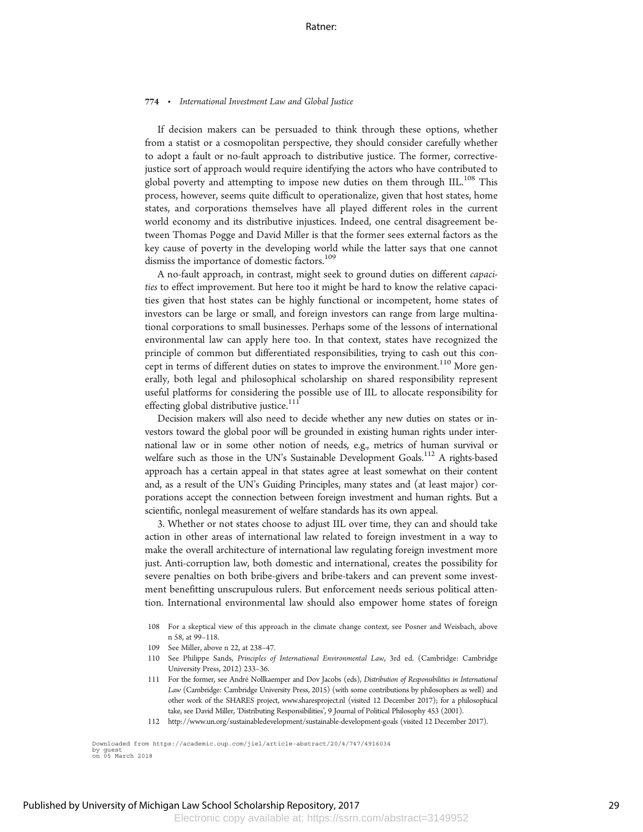If decision makers can be persuaded to think through these options, whether from a statist or a cosmopolitan perspective, they should consider carefully whether to adopt a fault or no-fault approach to distributive justice. The former, correctivejustice sort of approach would require identifying the actors who have contributed to global poverty and attempting to impose new duties on them through IIL.<sup>108</sup> This process, however, seems quite difficult to operationalize, given that host states, home states, and corporations themselves have all played different roles in the current world economy and its distributive injustices. Indeed, one central disagreement between Thomas Pogge and David Miller is that the former sees external factors as the key cause of poverty in the developing world while the latter says that one cannot dismiss the importance of domestic factors.<sup>109</sup>

A no-fault approach, in contrast, might seek to ground duties on different capacities to effect improvement. But here too it might be hard to know the relative capacities given that host states can be highly functional or incompetent, home states of investors can be large or small, and foreign investors can range from large multinational corporations to small businesses. Perhaps some of the lessons of international environmental law can apply here too. In that context, states have recognized the principle of common but differentiated responsibilities, trying to cash out this concept in terms of different duties on states to improve the environment.<sup>110</sup> More generally, both legal and philosophical scholarship on shared responsibility represent useful platforms for considering the possible use of IIL to allocate responsibility for effecting global distributive justice.<sup>111</sup>

Decision makers will also need to decide whether any new duties on states or investors toward the global poor will be grounded in existing human rights under international law or in some other notion of needs, e.g., metrics of human survival or welfare such as those in the UN's Sustainable Development Goals.<sup>112</sup> A rights-based approach has a certain appeal in that states agree at least somewhat on their content and, as a result of the UN's Guiding Principles, many states and (at least major) corporations accept the connection between foreign investment and human rights. But a scientific, nonlegal measurement of welfare standards has its own appeal.

3. Whether or not states choose to adjust IIL over time, they can and should take action in other areas of international law related to foreign investment in a way to make the overall architecture of international law regulating foreign investment more just. Anti-corruption law, both domestic and international, creates the possibility for severe penalties on both bribe-givers and bribe-takers and can prevent some investment benefitting unscrupulous rulers. But enforcement needs serious political attention. International environmental law should also empower home states of foreign

- 108 For a skeptical view of this approach in the climate change context, see Posner and Weisbach, above n 58, at 99–118.
- 109 See Miller, above n 22, at 238–47.
- 110 See Philippe Sands, Principles of International Environmental Law, 3rd ed. (Cambridge: Cambridge University Press, 2012) 233–36.
- 111 For the former, see Andre´ Nollkaemper and Dov Jacobs (eds), Distribution of Responsibilities in International Law (Cambridge: Cambridge University Press, 2015) (with some contributions by philosophers as well) and other work of the SHARES project, www.sharesproject.nl (visited 12 December 2017); for a philosophical take, see David Miller, 'Distributing Responsibilities', 9 Journal of Political Philosophy 453 (2001).
- 112 http://www.un.org/sustainabledevelopment/sustainable-development-goals (visited 12 December 2017).